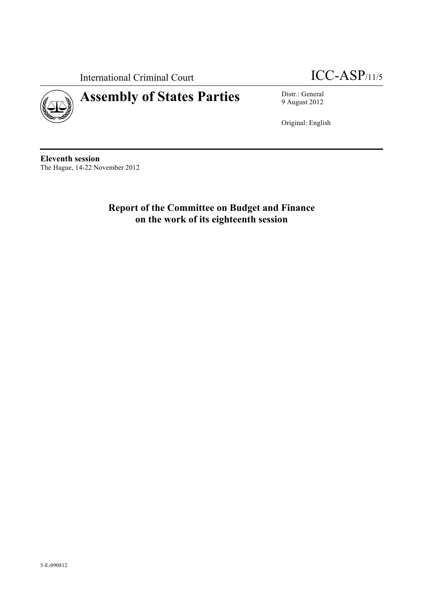International Criminal Court ICC-ASP/11/5

# **Assembly of States Parties** Distr.: General



9 August 2012

Original: English

**Eleventh session** The Hague, 14-22 November 2012

> **Report of the Committee on Budget and Finance on the work of its eighteenth session**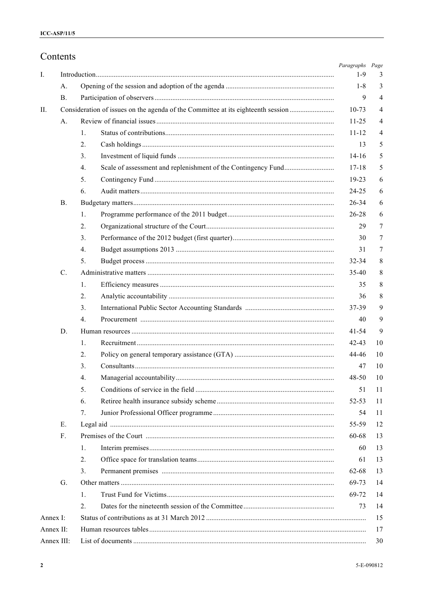|              | Contents       |                                                                                  | Paragraphs Page |                |  |  |  |
|--------------|----------------|----------------------------------------------------------------------------------|-----------------|----------------|--|--|--|
| I.           |                |                                                                                  |                 |                |  |  |  |
|              | A.             |                                                                                  | $1 - 8$         | 3              |  |  |  |
|              | $\mathbf{B}$ . |                                                                                  | 9               | $\overline{4}$ |  |  |  |
| II.          |                | Consideration of issues on the agenda of the Committee at its eighteenth session | $10-73$         | 4              |  |  |  |
|              | А.             |                                                                                  | $11 - 25$       | 4              |  |  |  |
|              |                | 1.                                                                               | $11 - 12$       | 4              |  |  |  |
|              |                | 2.                                                                               | 13              | 5              |  |  |  |
|              |                | 3.                                                                               | $14 - 16$       | 5              |  |  |  |
|              |                | 4.                                                                               | $17 - 18$       | 5              |  |  |  |
|              |                | 5.                                                                               | $19 - 23$       | 6              |  |  |  |
|              |                | 6.                                                                               | 24-25           | 6              |  |  |  |
|              | <b>B.</b>      |                                                                                  | 26-34           | 6              |  |  |  |
|              |                | 1.                                                                               | 26-28           | 6              |  |  |  |
|              |                | 2.                                                                               | 29              | 7              |  |  |  |
|              |                | 3.                                                                               | 30              | 7              |  |  |  |
|              |                | 4.                                                                               | 31              | 7              |  |  |  |
|              |                | 5.                                                                               | $32 - 34$       | 8              |  |  |  |
|              | C.             |                                                                                  | $35-40$         | 8              |  |  |  |
|              |                | 1.                                                                               | 35              | 8              |  |  |  |
|              |                | 2.                                                                               | 36              | 8              |  |  |  |
|              |                | 3.                                                                               | 37-39           | 9              |  |  |  |
|              |                | $\overline{4}$ .                                                                 | 40              | 9              |  |  |  |
|              | D.             |                                                                                  | $41 - 54$       | 9              |  |  |  |
|              |                | 1.                                                                               | $42 - 43$       | 10             |  |  |  |
|              |                | 2.                                                                               | 44-46           | 10             |  |  |  |
|              |                | 3.                                                                               | 47              | 10             |  |  |  |
|              |                | 4.                                                                               | $48 - 50$       | 10             |  |  |  |
|              |                | 5.                                                                               | 51              | 11             |  |  |  |
|              |                | 6.                                                                               | 52-53           | 11             |  |  |  |
|              |                | 7.                                                                               | 54              | 11             |  |  |  |
|              | Е.             |                                                                                  | 55-59           | 12             |  |  |  |
|              | $F_{\cdot}$    |                                                                                  | 60-68           | 13             |  |  |  |
|              |                | 1.                                                                               | 60              | 13             |  |  |  |
|              |                | 2.                                                                               | 61              | 13             |  |  |  |
|              |                | 3.                                                                               | 62-68           | 13             |  |  |  |
|              | G.             |                                                                                  | 69-73           | 14             |  |  |  |
|              |                | 1.                                                                               | 69-72           | 14             |  |  |  |
|              |                | $\overline{2}$ .                                                                 | 73              | 14             |  |  |  |
| Annex I:     |                |                                                                                  |                 | 15             |  |  |  |
| Annex $II$ : |                |                                                                                  |                 | 17             |  |  |  |
|              | Annex III:     |                                                                                  |                 | 30             |  |  |  |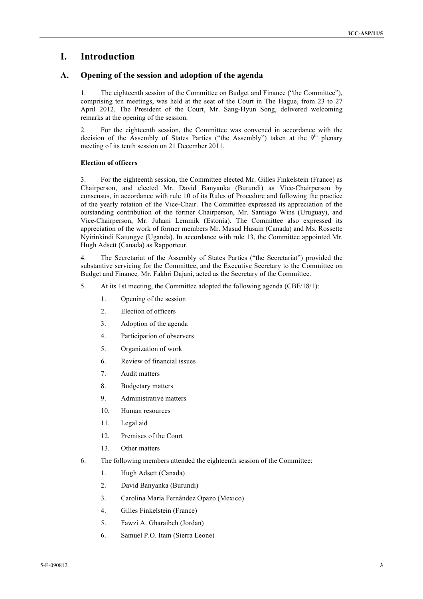## **I. Introduction**

## **A. Opening of the session and adoption of the agenda**

1. The eighteenth session of the Committee on Budget and Finance ("the Committee"), comprising ten meetings, was held at the seat of the Court in The Hague, from 23 to 27 April 2012. The President of the Court, Mr. Sang-Hyun Song, delivered welcoming remarks at the opening of the session.

2. For the eighteenth session, the Committee was convened in accordance with the decision of the Assembly of States Parties ("the Assembly") taken at the  $9<sup>th</sup>$  plenary meeting of its tenth session on 21 December 2011.

#### **Election of officers**

3. For the eighteenth session, the Committee elected Mr. Gilles Finkelstein (France) as Chairperson, and elected Mr. David Banyanka (Burundi) as Vice-Chairperson by consensus, in accordance with rule 10 of its Rules of Procedure and following the practice of the yearly rotation of the Vice-Chair. The Committee expressed its appreciation of the outstanding contribution of the former Chairperson, Mr. Santiago Wins (Uruguay), and Vice-Chairperson, Mr. Juhani Lemmik (Estonia). The Committee also expressed its appreciation of the work of former members Mr. Masud Husain (Canada) and Ms. Rossette Nyirinkindi Katungye (Uganda). In accordance with rule 13, the Committee appointed Mr. Hugh Adsett (Canada) as Rapporteur.

4. The Secretariat of the Assembly of States Parties ("the Secretariat") provided the substantive servicing for the Committee, and the Executive Secretary to the Committee on Budget and Finance*,* Mr. Fakhri Dajani, acted as the Secretary of the Committee.

- 5. At its 1st meeting, the Committee adopted the following agenda (CBF/18/1):
	- 1. Opening of the session
	- 2. Election of officers
	- 3. Adoption of the agenda
	- 4. Participation of observers
	- 5. Organization of work
	- 6. Review of financial issues
	- 7. Audit matters
	- 8. Budgetary matters
	- 9. Administrative matters
	- 10. Human resources
	- 11. Legal aid
	- 12. Premises of the Court
	- 13. Other matters
- 6. The following members attended the eighteenth session of the Committee:
	- 1. Hugh Adsett (Canada)
	- 2. David Banyanka (Burundi)
	- 3. Carolina María Fernández Opazo (Mexico)
	- 4. Gilles Finkelstein (France)
	- 5. Fawzi A. Gharaibeh (Jordan)
	- 6. Samuel P.O. Itam (Sierra Leone)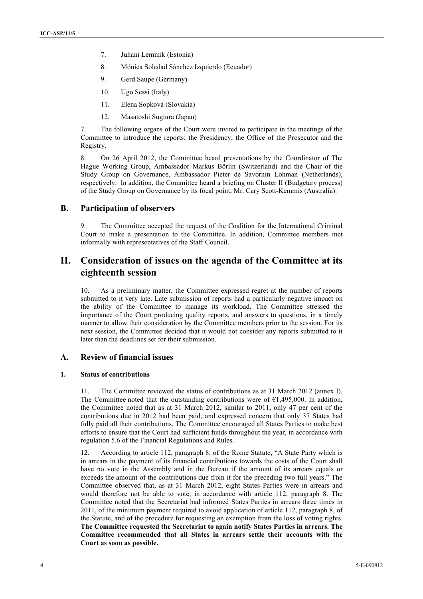- 7. Juhani Lemmik (Estonia)
- 8. Mónica Soledad Sánchez Izquierdo (Ecuador)
- 9. Gerd Saupe (Germany)
- 10. Ugo Sessi (Italy)
- 11. Elena Sopková (Slovakia)
- 12. Masatoshi Sugiura (Japan)

7. The following organs of the Court were invited to participate in the meetings of the Committee to introduce the reports: the Presidency, the Office of the Prosecutor and the Registry.

8. On 26 April 2012, the Committee heard presentations by the Coordinator of The Hague Working Group, Ambassador Markus Börlin (Switzerland) and the Chair of the Study Group on Governance, Ambassador Pieter de Savornin Lohman (Netherlands), respectively. In addition, the Committee heard a briefing on Cluster II (Budgetary process) of the Study Group on Governance by its focal point, Mr. Cary Scott-Kemmis (Australia).

## **B. Participation of observers**

9. The Committee accepted the request of the Coalition for the International Criminal Court to make a presentation to the Committee. In addition, Committee members met informally with representatives of the Staff Council.

## **II. Consideration of issues on the agenda of the Committee at its eighteenth session**

10. As a preliminary matter, the Committee expressed regret at the number of reports submitted to it very late. Late submission of reports had a particularly negative impact on the ability of the Committee to manage its workload. The Committee stressed the importance of the Court producing quality reports, and answers to questions, in a timely manner to allow their consideration by the Committee members prior to the session. For its next session, the Committee decided that it would not consider any reports submitted to it later than the deadlines set for their submission.

## **A. Review of financial issues**

#### **1. Status of contributions**

11. The Committee reviewed the status of contributions as at 31 March 2012 (annex I). The Committee noted that the outstanding contributions were of  $\epsilon$ 1,495,000. In addition, the Committee noted that as at 31 March 2012, similar to 2011, only 47 per cent of the contributions due in 2012 had been paid, and expressed concern that only 37 States had fully paid all their contributions. The Committee encouraged all States Parties to make best efforts to ensure that the Court had sufficient funds throughout the year, in accordance with regulation 5.6 of the Financial Regulations and Rules.

12. According to article 112, paragraph 8, of the Rome Statute, "A State Party which is in arrears in the payment of its financial contributions towards the costs of the Court shall have no vote in the Assembly and in the Bureau if the amount of its arrears equals or exceeds the amount of the contributions due from it for the preceding two full years." The Committee observed that, as at 31 March 2012, eight States Parties were in arrears and would therefore not be able to vote, in accordance with article 112, paragraph 8. The Committee noted that the Secretariat had informed States Parties in arrears three times in 2011, of the minimum payment required to avoid application of article 112, paragraph 8, of the Statute, and of the procedure for requesting an exemption from the loss of voting rights. **The Committee requested the Secretariat to again notify States Parties in arrears. The Committee recommended that all States in arrears settle their accounts with the Court as soon as possible.**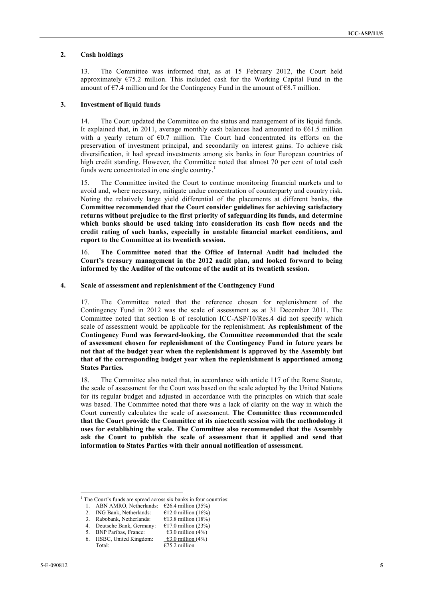#### **2. Cash holdings**

13. The Committee was informed that, as at 15 February 2012, the Court held approximately  $\epsilon$ 75.2 million. This included cash for the Working Capital Fund in the amount of  $\epsilon$ 7.4 million and for the Contingency Fund in the amount of  $\epsilon$ 8.7 million.

#### **3. Investment of liquid funds**

14. The Court updated the Committee on the status and management of its liquid funds. It explained that, in 2011, average monthly cash balances had amounted to  $661.5$  million with a yearly return of  $E(0.7)$  million. The Court had concentrated its efforts on the preservation of investment principal, and secondarily on interest gains. To achieve risk diversification, it had spread investments among six banks in four European countries of high credit standing. However, the Committee noted that almost 70 per cent of total cash funds were concentrated in one single country.<sup>1</sup>

15. The Committee invited the Court to continue monitoring financial markets and to avoid and, where necessary, mitigate undue concentration of counterparty and country risk. Noting the relatively large yield differential of the placements at different banks, **the Committee recommended that the Court consider guidelines for achieving satisfactory returns without prejudice to the first priority of safeguarding its funds, and determine which banks should be used taking into consideration its cash flow needs and the credit rating of such banks, especially in unstable financial market conditions, and report to the Committee at its twentieth session.**

16. **The Committee noted that the Office of Internal Audit had included the Court's treasury management in the 2012 audit plan, and looked forward to being informed by the Auditor of the outcome of the audit at its twentieth session.** 

#### **4. Scale of assessment and replenishment of the Contingency Fund**

17. The Committee noted that the reference chosen for replenishment of the Contingency Fund in 2012 was the scale of assessment as at 31 December 2011. The Committee noted that section E of resolution ICC-ASP/10/Res.4 did not specify which scale of assessment would be applicable for the replenishment. **As replenishment of the Contingency Fund was forward-looking, the Committee recommended that the scale of assessment chosen for replenishment of the Contingency Fund in future years be not that of the budget year when the replenishment is approved by the Assembly but that of the corresponding budget year when the replenishment is apportioned among States Parties.**

18. The Committee also noted that, in accordance with article 117 of the Rome Statute, the scale of assessment for the Court was based on the scale adopted by the United Nations for its regular budget and adjusted in accordance with the principles on which that scale was based. The Committee noted that there was a lack of clarity on the way in which the Court currently calculates the scale of assessment. **The Committee thus recommended that the Court provide the Committee at its nineteenth session with the methodology it uses for establishing the scale. The Committee also recommended that the Assembly ask the Court to publish the scale of assessment that it applied and send that information to States Parties with their annual notification of assessment.**

The Court's funds are spread across six banks in four countries:

<sup>1.</sup> ABN AMRO, Netherlands:  $\epsilon$ 26.4 million (35%)

<sup>2.</sup> ING Bank, Netherlands:  $\epsilon$ 12.0 million (16%)

<sup>3.</sup> Rabobank, Netherlands:  $\epsilon$ 13.8 million (18%)

<sup>4.</sup> Deutsche Bank, Germany: €17.0 million (23%)

<sup>5.</sup> BNP Paribas, France:  $\qquad \qquad \text{\textsterling}3.0 \text{ million (4\%)}$ 

HSBC, United Kingdom:  $\qquad \qquad \textbf{\textsterling}3.0 \text{ million (4\%)}$ 

Total:  $\overline{675.2}$  million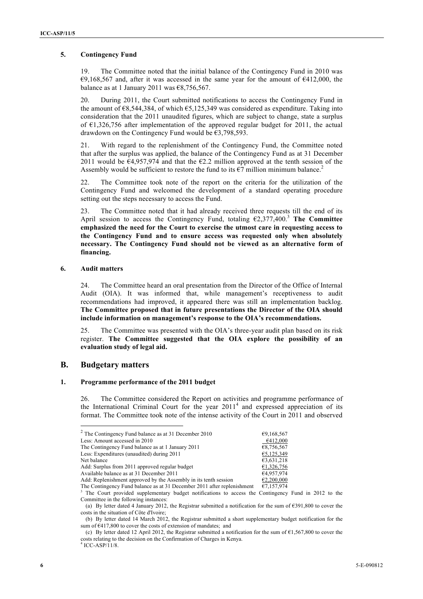#### **5. Contingency Fund**

19. The Committee noted that the initial balance of the Contingency Fund in 2010 was  $€9,168,567$  and, after it was accessed in the same year for the amount of  $€412,000$ , the balance as at 1 January 2011 was  $\epsilon$ 8,756,567.

20. During 2011, the Court submitted notifications to access the Contingency Fund in the amount of  $\epsilon$ 8,544,384, of which  $\epsilon$ 5,125,349 was considered as expenditure. Taking into consideration that the 2011 unaudited figures, which are subject to change, state a surplus of  $\epsilon$ 1,326,756 after implementation of the approved regular budget for 2011, the actual drawdown on the Contingency Fund would be  $\epsilon$ 3,798,593.

21. With regard to the replenishment of the Contingency Fund, the Committee noted that after the surplus was applied, the balance of the Contingency Fund as at 31 December 2011 would be  $64.957.974$  and that the  $62.2$  million approved at the tenth session of the Assembly would be sufficient to restore the fund to its  $\epsilon$ 7 million minimum balance.<sup>2</sup>

22. The Committee took note of the report on the criteria for the utilization of the Contingency Fund and welcomed the development of a standard operating procedure setting out the steps necessary to access the Fund.

23. The Committee noted that it had already received three requests till the end of its April session to access the Contingency Fund, totaling  $\epsilon$ 2,377,400.<sup>3</sup> The Committee **emphasized the need for the Court to exercise the utmost care in requesting access to the Contingency Fund and to ensure access was requested only when absolutely necessary. The Contingency Fund should not be viewed as an alternative form of financing.**

#### **6. Audit matters**

24. The Committee heard an oral presentation from the Director of the Office of Internal Audit (OIA). It was informed that, while management's receptiveness to audit recommendations had improved, it appeared there was still an implementation backlog. **The Committee proposed that in future presentations the Director of the OIA should include information on management's response to the OIA's recommendations.**

25. The Committee was presented with the OIA's three-year audit plan based on its risk register. **The Committee suggested that the OIA explore the possibility of an evaluation study of legal aid.** 

## **B. Budgetary matters**

#### **1. Programme performance of the 2011 budget**

26. The Committee considered the Report on activities and programme performance of the International Criminal Court for the year  $2011<sup>4</sup>$  and expressed appreciation of its format. The Committee took note of the intense activity of the Court in 2011 and observed

| $2$ The Contingency Fund balance as at 31 December 2010                 | €9,168,567 |
|-------------------------------------------------------------------------|------------|
| Less: Amount accessed in 2010                                           | €412.000   |
| The Contingency Fund balance as at 1 January 2011                       | €8,756,567 |
| Less: Expenditures (unaudited) during 2011                              | €5.125.349 |
| Net balance                                                             | €3,631,218 |
| Add: Surplus from 2011 approved regular budget                          | €1,326,756 |
| Available balance as at 31 December 2011                                | €4,957,974 |
| Add: Replenishment approved by the Assembly in its tenth session        | €2,200,000 |
| The Contingency Fund balance as at 31 December 2011 after replenishment | €7,157,974 |

<sup>3</sup> The Court provided supplementary budget notifications to access the Contingency Fund in 2012 to the Committee in the following instances:

<sup>(</sup>a) By letter dated 4 January 2012, the Registrar submitted a notification for the sum of  $\epsilon$ 391,800 to cover the costs in the situation of Côte d'Ivoire;

<sup>(</sup>b) By letter dated 14 March 2012, the Registrar submitted a short supplementary budget notification for the sum of  $\epsilon$ 417,800 to cover the costs of extension of mandates; and

<sup>(</sup>c) By letter dated 12 April 2012, the Registrar submitted a notification for the sum of  $\epsilon$ 1,567,800 to cover the costs relating to the decision on the Confirmation of Charges in Kenya.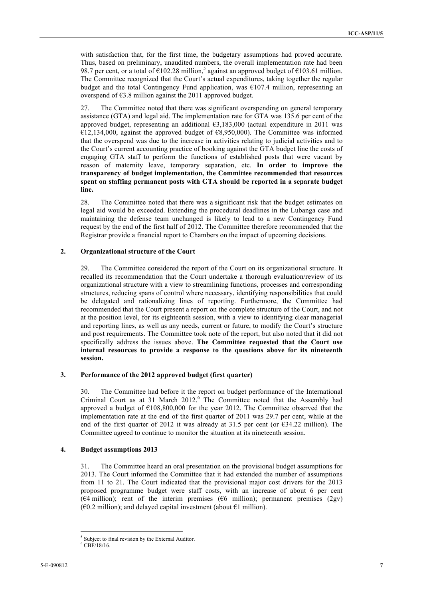with satisfaction that, for the first time, the budgetary assumptions had proved accurate. Thus, based on preliminary, unaudited numbers, the overall implementation rate had been 98.7 per cent, or a total of  $\epsilon$ 102.28 million,<sup>5</sup> against an approved budget of  $\epsilon$ 103.61 million. The Committee recognized that the Court's actual expenditures, taking together the regular budget and the total Contingency Fund application, was  $\epsilon$ 107.4 million, representing an overspend of  $\epsilon$ 3.8 million against the 2011 approved budget.

27. The Committee noted that there was significant overspending on general temporary assistance (GTA) and legal aid. The implementation rate for GTA was 135.6 per cent of the approved budget, representing an additional  $63,183,000$  (actual expenditure in 2011 was  $E12,134,000$ , against the approved budget of  $E8,950,000$ ). The Committee was informed that the overspend was due to the increase in activities relating to judicial activities and to the Court's current accounting practice of booking against the GTA budget line the costs of engaging GTA staff to perform the functions of established posts that were vacant by reason of maternity leave, temporary separation, etc. **In order to improve the transparency of budget implementation, the Committee recommended that resources spent on staffing permanent posts with GTA should be reported in a separate budget line.** 

28. The Committee noted that there was a significant risk that the budget estimates on legal aid would be exceeded. Extending the procedural deadlines in the Lubanga case and maintaining the defense team unchanged is likely to lead to a new Contingency Fund request by the end of the first half of 2012. The Committee therefore recommended that the Registrar provide a financial report to Chambers on the impact of upcoming decisions.

### **2. Organizational structure of the Court**

29. The Committee considered the report of the Court on its organizational structure. It recalled its recommendation that the Court undertake a thorough evaluation/review of its organizational structure with a view to streamlining functions, processes and corresponding structures, reducing spans of control where necessary, identifying responsibilities that could be delegated and rationalizing lines of reporting. Furthermore, the Committee had recommended that the Court present a report on the complete structure of the Court, and not at the position level, for its eighteenth session, with a view to identifying clear managerial and reporting lines, as well as any needs, current or future, to modify the Court's structure and post requirements. The Committee took note of the report, but also noted that it did not specifically address the issues above. **The Committee requested that the Court use internal resources to provide a response to the questions above for its nineteenth session.**

### **3. Performance of the 2012 approved budget (first quarter)**

30. The Committee had before it the report on budget performance of the International Criminal Court as at 31 March 2012.<sup>6</sup> The Committee noted that the Assembly had approved a budget of €108,800,000 for the year 2012. The Committee observed that the implementation rate at the end of the first quarter of 2011 was 29.7 per cent, while at the end of the first quarter of 2012 it was already at 31.5 per cent (or  $\epsilon$ 34.22 million). The Committee agreed to continue to monitor the situation at its nineteenth session.

### **4. Budget assumptions 2013**

31. The Committee heard an oral presentation on the provisional budget assumptions for 2013. The Court informed the Committee that it had extended the number of assumptions from 11 to 21. The Court indicated that the provisional major cost drivers for the 2013 proposed programme budget were staff costs, with an increase of about 6 per cent ( $64$  million); rent of the interim premises ( $66$  million); permanent premises ( $2gv$ )  $(60.2 \text{ million})$ ; and delayed capital investment (about  $61 \text{ million}$ ).

 $\frac{1}{5}$ Subject to final revision by the External Auditor.

<sup>6</sup> CBF/18/16.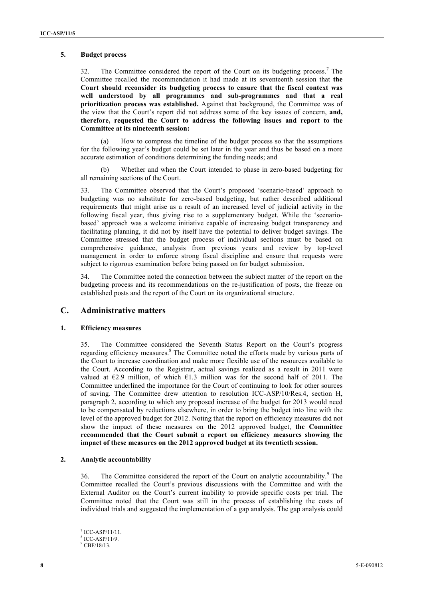#### **5. Budget process**

32. The Committee considered the report of the Court on its budgeting process.<sup>7</sup> The Committee recalled the recommendation it had made at its seventeenth session that **the Court should reconsider its budgeting process to ensure that the fiscal context was well understood by all programmes and sub-programmes and that a real prioritization process was established.** Against that background, the Committee was of the view that the Court's report did not address some of the key issues of concern, **and, therefore, requested the Court to address the following issues and report to the Committee at its nineteenth session:**

(a) How to compress the timeline of the budget process so that the assumptions for the following year's budget could be set later in the year and thus be based on a more accurate estimation of conditions determining the funding needs; and

Whether and when the Court intended to phase in zero-based budgeting for all remaining sections of the Court.

33. The Committee observed that the Court's proposed 'scenario-based' approach to budgeting was no substitute for zero-based budgeting, but rather described additional requirements that might arise as a result of an increased level of judicial activity in the following fiscal year, thus giving rise to a supplementary budget. While the 'scenariobased' approach was a welcome initiative capable of increasing budget transparency and facilitating planning, it did not by itself have the potential to deliver budget savings. The Committee stressed that the budget process of individual sections must be based on comprehensive guidance, analysis from previous years and review by top-level management in order to enforce strong fiscal discipline and ensure that requests were subject to rigorous examination before being passed on for budget submission.

34. The Committee noted the connection between the subject matter of the report on the budgeting process and its recommendations on the re-justification of posts, the freeze on established posts and the report of the Court on its organizational structure.

## **C. Administrative matters**

#### **1. Efficiency measures**

35. The Committee considered the Seventh Status Report on the Court's progress regarding efficiency measures.<sup>8</sup> The Committee noted the efforts made by various parts of the Court to increase coordination and make more flexible use of the resources available to the Court. According to the Registrar, actual savings realized as a result in 2011 were valued at  $E2.9$  million, of which  $E1.3$  million was for the second half of 2011. The Committee underlined the importance for the Court of continuing to look for other sources of saving. The Committee drew attention to resolution ICC-ASP/10/Res.4, section H, paragraph 2, according to which any proposed increase of the budget for 2013 would need to be compensated by reductions elsewhere, in order to bring the budget into line with the level of the approved budget for 2012. Noting that the report on efficiency measures did not show the impact of these measures on the 2012 approved budget, **the Committee recommended that the Court submit a report on efficiency measures showing the impact of these measures on the 2012 approved budget at its twentieth session.**

#### **2. Analytic accountability**

36. The Committee considered the report of the Court on analytic accountability.<sup>9</sup> The Committee recalled the Court's previous discussions with the Committee and with the External Auditor on the Court's current inability to provide specific costs per trial. The Committee noted that the Court was still in the process of establishing the costs of individual trials and suggested the implementation of a gap analysis. The gap analysis could

 <sup>7</sup> ICC-ASP/11/11.

<sup>8</sup> ICC-ASP/11/9.

<sup>9</sup> CBF/18/13.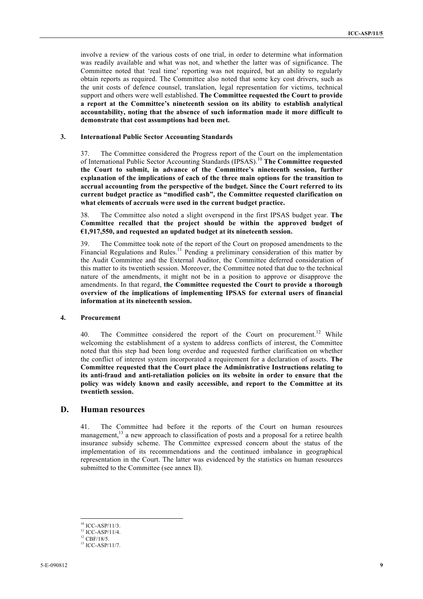involve a review of the various costs of one trial, in order to determine what information was readily available and what was not, and whether the latter was of significance. The Committee noted that 'real time' reporting was not required, but an ability to regularly obtain reports as required. The Committee also noted that some key cost drivers, such as the unit costs of defence counsel, translation, legal representation for victims, technical support and others were well established. **The Committee requested the Court to provide a report at the Committee's nineteenth session on its ability to establish analytical accountability, noting that the absence of such information made it more difficult to demonstrate that cost assumptions had been met.**

#### **3. International Public Sector Accounting Standards**

37. The Committee considered the Progress report of the Court on the implementation of International Public Sector Accounting Standards (IPSAS).<sup>10</sup> **The Committee requested the Court to submit, in advance of the Committee's nineteenth session, further explanation of the implications of each of the three main options for the transition to accrual accounting from the perspective of the budget. Since the Court referred to its current budget practice as "modified cash", the Committee requested clarification on what elements of accruals were used in the current budget practice.**

38. The Committee also noted a slight overspend in the first IPSAS budget year. **The Committee recalled that the project should be within the approved budget of €1,917,550, and requested an updated budget at its nineteenth session.**

39. The Committee took note of the report of the Court on proposed amendments to the Financial Regulations and Rules.<sup>11</sup> Pending a preliminary consideration of this matter by the Audit Committee and the External Auditor, the Committee deferred consideration of this matter to its twentieth session. Moreover, the Committee noted that due to the technical nature of the amendments, it might not be in a position to approve or disapprove the amendments. In that regard, **the Committee requested the Court to provide a thorough overview of the implications of implementing IPSAS for external users of financial information at its nineteenth session.**

#### **4. Procurement**

40. The Committee considered the report of the Court on procurement.<sup>12</sup> While welcoming the establishment of a system to address conflicts of interest, the Committee noted that this step had been long overdue and requested further clarification on whether the conflict of interest system incorporated a requirement for a declaration of assets. **The Committee requested that the Court place the Administrative Instructions relating to its anti-fraud and anti-retaliation policies on its website in order to ensure that the policy was widely known and easily accessible, and report to the Committee at its twentieth session.**

## **D. Human resources**

41. The Committee had before it the reports of the Court on human resources management,<sup>13</sup> a new approach to classification of posts and a proposal for a retiree health insurance subsidy scheme. The Committee expressed concern about the status of the implementation of its recommendations and the continued imbalance in geographical representation in the Court. The latter was evidenced by the statistics on human resources submitted to the Committee (see annex II).

 $10$  ICC-ASP/11/3.

 $11$  ICC-ASP/11/4.

<sup>12</sup> CBF/18/5.

<sup>13</sup> ICC-ASP/11/7.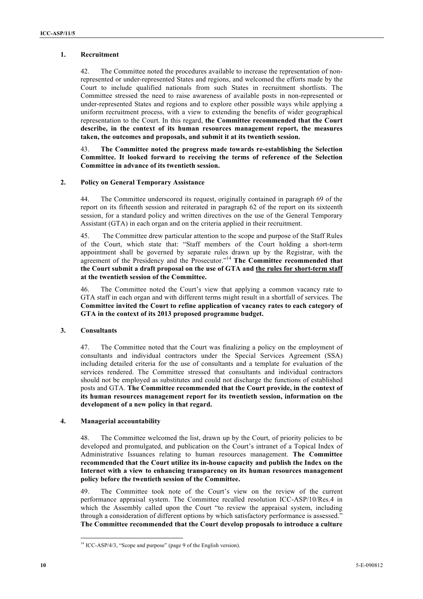#### **1. Recruitment**

42. The Committee noted the procedures available to increase the representation of nonrepresented or under-represented States and regions, and welcomed the efforts made by the Court to include qualified nationals from such States in recruitment shortlists. The Committee stressed the need to raise awareness of available posts in non-represented or under-represented States and regions and to explore other possible ways while applying a uniform recruitment process, with a view to extending the benefits of wider geographical representation to the Court. In this regard, **the Committee recommended that the Court describe, in the context of its human resources management report, the measures taken, the outcomes and proposals, and submit it at its twentieth session.**

43. **The Committee noted the progress made towards re-establishing the Selection Committee. It looked forward to receiving the terms of reference of the Selection Committee in advance of its twentieth session.**

#### **2. Policy on General Temporary Assistance**

44. The Committee underscored its request, originally contained in paragraph 69 of the report on its fifteenth session and reiterated in paragraph 62 of the report on its sixteenth session, for a standard policy and written directives on the use of the General Temporary Assistant (GTA) in each organ and on the criteria applied in their recruitment.

45. The Committee drew particular attention to the scope and purpose of the Staff Rules of the Court, which state that: "Staff members of the Court holding a short-term appointment shall be governed by separate rules drawn up by the Registrar, with the agreement of the Presidency and the Prosecutor."<sup>14</sup> **The Committee recommended that the Court submit a draft proposal on the use of GTA and the rules for short-term staff at the twentieth session of the Committee.**

46. The Committee noted the Court's view that applying a common vacancy rate to GTA staff in each organ and with different terms might result in a shortfall of services. The **Committee invited the Court to refine application of vacancy rates to each category of GTA in the context of its 2013 proposed programme budget.**

### **3. Consultants**

47. The Committee noted that the Court was finalizing a policy on the employment of consultants and individual contractors under the Special Services Agreement (SSA) including detailed criteria for the use of consultants and a template for evaluation of the services rendered. The Committee stressed that consultants and individual contractors should not be employed as substitutes and could not discharge the functions of established posts and GTA. **The Committee recommended that the Court provide, in the context of its human resources management report for its twentieth session, information on the development of a new policy in that regard.**

### **4. Managerial accountability**

48. The Committee welcomed the list, drawn up by the Court, of priority policies to be developed and promulgated, and publication on the Court's intranet of a Topical Index of Administrative Issuances relating to human resources management. **The Committee recommended that the Court utilize its in-house capacity and publish the Index on the Internet with a view to enhancing transparency on its human resources management policy before the twentieth session of the Committee.**

49. The Committee took note of the Court's view on the review of the current performance appraisal system. The Committee recalled resolution ICC-ASP/10/Res.4 in which the Assembly called upon the Court "to review the appraisal system, including through a consideration of different options by which satisfactory performance is assessed." **The Committee recommended that the Court develop proposals to introduce a culture** 

 $14$  ICC-ASP/4/3, "Scope and purpose" (page 9 of the English version).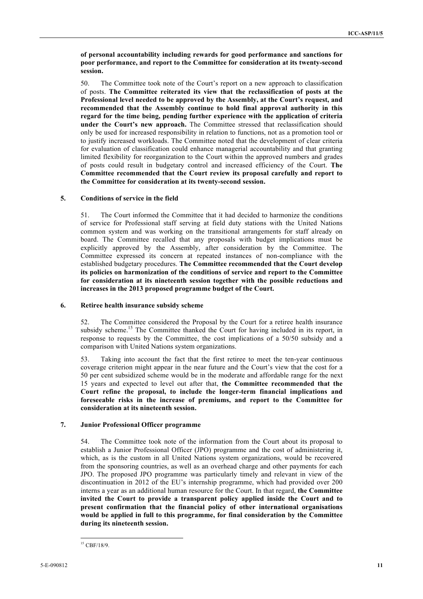**of personal accountability including rewards for good performance and sanctions for poor performance, and report to the Committee for consideration at its twenty-second session.**

50. The Committee took note of the Court's report on a new approach to classification of posts. **The Committee reiterated its view that the reclassification of posts at the Professional level needed to be approved by the Assembly, at the Court's request, and recommended that the Assembly continue to hold final approval authority in this regard for the time being, pending further experience with the application of criteria under the Court's new approach.** The Committee stressed that reclassification should only be used for increased responsibility in relation to functions, not as a promotion tool or to justify increased workloads. The Committee noted that the development of clear criteria for evaluation of classification could enhance managerial accountability and that granting limited flexibility for reorganization to the Court within the approved numbers and grades of posts could result in budgetary control and increased efficiency of the Court. **The Committee recommended that the Court review its proposal carefully and report to the Committee for consideration at its twenty-second session.**

#### **5. Conditions of service in the field**

51. The Court informed the Committee that it had decided to harmonize the conditions of service for Professional staff serving at field duty stations with the United Nations common system and was working on the transitional arrangements for staff already on board. The Committee recalled that any proposals with budget implications must be explicitly approved by the Assembly, after consideration by the Committee. The Committee expressed its concern at repeated instances of non-compliance with the established budgetary procedures. **The Committee recommended that the Court develop its policies on harmonization of the conditions of service and report to the Committee for consideration at its nineteenth session together with the possible reductions and increases in the 2013 proposed programme budget of the Court.**

#### **6. Retiree health insurance subsidy scheme**

52. The Committee considered the Proposal by the Court for a retiree health insurance subsidy scheme.<sup>15</sup> The Committee thanked the Court for having included in its report, in response to requests by the Committee, the cost implications of a 50/50 subsidy and a comparison with United Nations system organizations.

53. Taking into account the fact that the first retiree to meet the ten-year continuous coverage criterion might appear in the near future and the Court's view that the cost for a 50 per cent subsidized scheme would be in the moderate and affordable range for the next 15 years and expected to level out after that, **the Committee recommended that the Court refine the proposal, to include the longer-term financial implications and foreseeable risks in the increase of premiums, and report to the Committee for consideration at its nineteenth session.**

### **7. Junior Professional Officer programme**

54. The Committee took note of the information from the Court about its proposal to establish a Junior Professional Officer (JPO) programme and the cost of administering it, which, as is the custom in all United Nations system organizations, would be recovered from the sponsoring countries, as well as an overhead charge and other payments for each JPO. The proposed JPO programme was particularly timely and relevant in view of the discontinuation in 2012 of the EU's internship programme, which had provided over 200 interns a year as an additional human resource for the Court. In that regard, **the Committee invited the Court to provide a transparent policy applied inside the Court and to present confirmation that the financial policy of other international organisations would be applied in full to this programme, for final consideration by the Committee during its nineteenth session.**

<sup>&</sup>lt;sup>15</sup> CBF/18/9.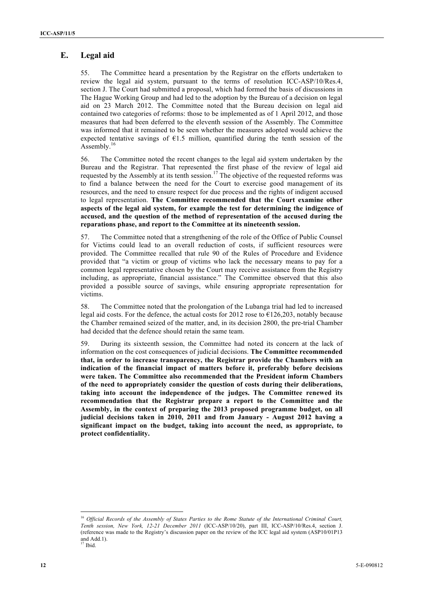## **E. Legal aid**

55. The Committee heard a presentation by the Registrar on the efforts undertaken to review the legal aid system, pursuant to the terms of resolution ICC-ASP/10/Res.4, section J. The Court had submitted a proposal, which had formed the basis of discussions in The Hague Working Group and had led to the adoption by the Bureau of a decision on legal aid on 23 March 2012. The Committee noted that the Bureau decision on legal aid contained two categories of reforms: those to be implemented as of 1 April 2012, and those measures that had been deferred to the eleventh session of the Assembly. The Committee was informed that it remained to be seen whether the measures adopted would achieve the expected tentative savings of  $E1.5$  million, quantified during the tenth session of the Assembly. $16$ 

56. The Committee noted the recent changes to the legal aid system undertaken by the Bureau and the Registrar. That represented the first phase of the review of legal aid requested by the Assembly at its tenth session.<sup>17</sup> The objective of the requested reforms was to find a balance between the need for the Court to exercise good management of its resources, and the need to ensure respect for due process and the rights of indigent accused to legal representation. **The Committee recommended that the Court examine other aspects of the legal aid system, for example the test for determining the indigence of accused, and the question of the method of representation of the accused during the reparations phase, and report to the Committee at its nineteenth session.** 

57. The Committee noted that a strengthening of the role of the Office of Public Counsel for Victims could lead to an overall reduction of costs, if sufficient resources were provided. The Committee recalled that rule 90 of the Rules of Procedure and Evidence provided that "a victim or group of victims who lack the necessary means to pay for a common legal representative chosen by the Court may receive assistance from the Registry including, as appropriate, financial assistance." The Committee observed that this also provided a possible source of savings, while ensuring appropriate representation for victims.

58. The Committee noted that the prolongation of the Lubanga trial had led to increased legal aid costs. For the defence, the actual costs for 2012 rose to  $\epsilon$ 126,203, notably because the Chamber remained seized of the matter, and, in its decision 2800, the pre-trial Chamber had decided that the defence should retain the same team.

59. During its sixteenth session, the Committee had noted its concern at the lack of information on the cost consequences of judicial decisions. **The Committee recommended that, in order to increase transparency, the Registrar provide the Chambers with an indication of the financial impact of matters before it, preferably before decisions were taken. The Committee also recommended that the President inform Chambers of the need to appropriately consider the question of costs during their deliberations, taking into account the independence of the judges. The Committee renewed its recommendation that the Registrar prepare a report to the Committee and the Assembly, in the context of preparing the 2013 proposed programme budget, on all judicial decisions taken in 2010, 2011 and from January - August 2012 having a significant impact on the budget, taking into account the need, as appropriate, to protect confidentiality.**

<sup>&</sup>lt;sup>16</sup> *Official Records of the Assembly of States Parties to the Rome Statute of the International Criminal Court, Tenth session, New York, 12-21 December 2011* (ICC-ASP/10/20), part III, ICC-ASP/10/Res.4, section J. (reference was made to the Registry's discussion paper on the review of the ICC legal aid system (ASP10/01P13 and Add.1).  $17$  Ibid.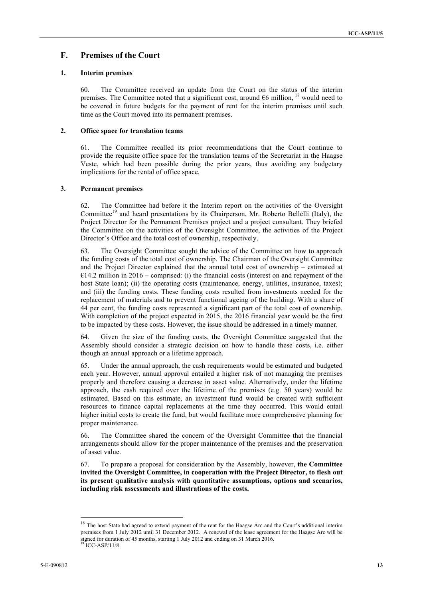## **F. Premises of the Court**

#### **1. Interim premises**

60. The Committee received an update from the Court on the status of the interim premises. The Committee noted that a significant cost, around  $\epsilon$ 6 million, <sup>18</sup> would need to be covered in future budgets for the payment of rent for the interim premises until such time as the Court moved into its permanent premises.

#### **2. Office space for translation teams**

61. The Committee recalled its prior recommendations that the Court continue to provide the requisite office space for the translation teams of the Secretariat in the Haagse Veste, which had been possible during the prior years, thus avoiding any budgetary implications for the rental of office space.

#### **3. Permanent premises**

62. The Committee had before it the Interim report on the activities of the Oversight Committee<sup>19</sup> and heard presentations by its Chairperson, Mr. Roberto Bellelli (Italy), the Project Director for the Permanent Premises project and a project consultant. They briefed the Committee on the activities of the Oversight Committee, the activities of the Project Director's Office and the total cost of ownership, respectively.

63. The Oversight Committee sought the advice of the Committee on how to approach the funding costs of the total cost of ownership. The Chairman of the Oversight Committee and the Project Director explained that the annual total cost of ownership – estimated at  $E$ 14.2 million in 2016 – comprised: (i) the financial costs (interest on and repayment of the host State loan); (ii) the operating costs (maintenance, energy, utilities, insurance, taxes); and (iii) the funding costs. These funding costs resulted from investments needed for the replacement of materials and to prevent functional ageing of the building. With a share of 44 per cent, the funding costs represented a significant part of the total cost of ownership. With completion of the project expected in 2015, the 2016 financial year would be the first to be impacted by these costs. However, the issue should be addressed in a timely manner.

64. Given the size of the funding costs, the Oversight Committee suggested that the Assembly should consider a strategic decision on how to handle these costs, i.e. either though an annual approach or a lifetime approach.

65. Under the annual approach, the cash requirements would be estimated and budgeted each year. However, annual approval entailed a higher risk of not managing the premises properly and therefore causing a decrease in asset value. Alternatively, under the lifetime approach, the cash required over the lifetime of the premises (e.g. 50 years) would be estimated. Based on this estimate, an investment fund would be created with sufficient resources to finance capital replacements at the time they occurred. This would entail higher initial costs to create the fund, but would facilitate more comprehensive planning for proper maintenance.

66. The Committee shared the concern of the Oversight Committee that the financial arrangements should allow for the proper maintenance of the premises and the preservation of asset value.

67. To prepare a proposal for consideration by the Assembly, however, **the Committee invited the Oversight Committee, in cooperation with the Project Director, to flesh out its present qualitative analysis with quantitative assumptions, options and scenarios, including risk assessments and illustrations of the costs.**

The host State had agreed to extend payment of the rent for the Haagse Arc and the Court's additional interim premises from 1 July 2012 until 31 December 2012. A renewal of the lease agreement for the Haagse Arc will be signed for duration of 45 months, starting 1 July 2012 and ending on 31 March 2016.  $19$  ICC-ASP/11/8.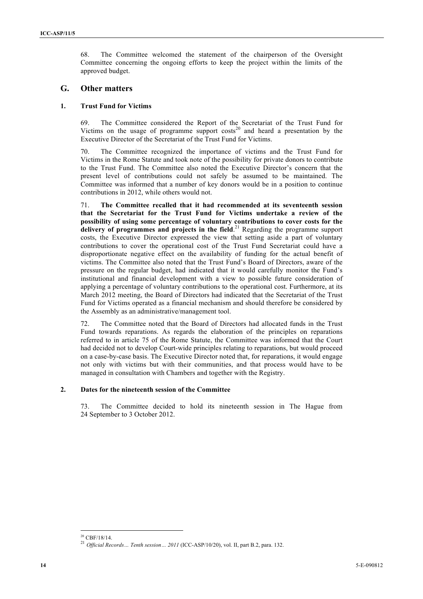68. The Committee welcomed the statement of the chairperson of the Oversight Committee concerning the ongoing efforts to keep the project within the limits of the approved budget.

## **G. Other matters**

#### **1. Trust Fund for Victims**

69. The Committee considered the Report of the Secretariat of the Trust Fund for Victims on the usage of programme support  $costs<sup>20</sup>$  and heard a presentation by the Executive Director of the Secretariat of the Trust Fund for Victims.

70. The Committee recognized the importance of victims and the Trust Fund for Victims in the Rome Statute and took note of the possibility for private donors to contribute to the Trust Fund. The Committee also noted the Executive Director's concern that the present level of contributions could not safely be assumed to be maintained. The Committee was informed that a number of key donors would be in a position to continue contributions in 2012, while others would not.

71. **The Committee recalled that it had recommended at its seventeenth session that the Secretariat for the Trust Fund for Victims undertake a review of the possibility of using some percentage of voluntary contributions to cover costs for the delivery of programmes and projects in the field**. <sup>21</sup> Regarding the programme support costs, the Executive Director expressed the view that setting aside a part of voluntary contributions to cover the operational cost of the Trust Fund Secretariat could have a disproportionate negative effect on the availability of funding for the actual benefit of victims. The Committee also noted that the Trust Fund's Board of Directors, aware of the pressure on the regular budget, had indicated that it would carefully monitor the Fund's institutional and financial development with a view to possible future consideration of applying a percentage of voluntary contributions to the operational cost. Furthermore, at its March 2012 meeting, the Board of Directors had indicated that the Secretariat of the Trust Fund for Victims operated as a financial mechanism and should therefore be considered by the Assembly as an administrative/management tool.

72. The Committee noted that the Board of Directors had allocated funds in the Trust Fund towards reparations. As regards the elaboration of the principles on reparations referred to in article 75 of the Rome Statute, the Committee was informed that the Court had decided not to develop Court-wide principles relating to reparations, but would proceed on a case-by-case basis. The Executive Director noted that, for reparations, it would engage not only with victims but with their communities, and that process would have to be managed in consultation with Chambers and together with the Registry.

#### **2. Dates for the nineteenth session of the Committee**

73. The Committee decided to hold its nineteenth session in The Hague from 24 September to 3 October 2012.

<sup>20</sup> CBF/18/14. <sup>21</sup> *Official Records… Tenth session… 2011* (ICC-ASP/10/20), vol. II, part B.2, para. 132.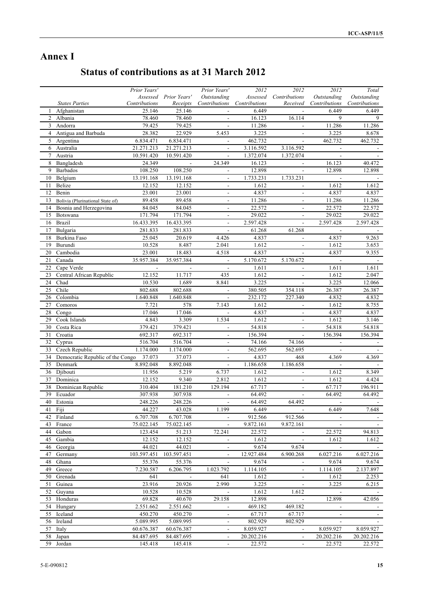## **Annex I**

# **Status of contributions as at 31 March 2012**

|                |                                  | Prior Years'        |                       | Prior Years'             | 2012          | 2012                                  | 2012                     | Total         |
|----------------|----------------------------------|---------------------|-----------------------|--------------------------|---------------|---------------------------------------|--------------------------|---------------|
|                |                                  |                     | Assessed Prior Years' | Outstanding              | Assessed      | Contributions                         | Outstanding              | Outstanding   |
|                | <b>States Parties</b>            | Contributions       | Receipts              | Contributions            | Contributions | Received                              | Contributions            | Contributions |
| 1              | Afghanistan                      | 25.146              | 25.146                |                          | 6.449         |                                       | 6.449                    | 6.449         |
|                | 2 Albania                        | 78.460              | 78.460                |                          | 16.123        | 16.114                                | 9                        | 9             |
| 3              | Andorra                          | 79.425              | 79.425                | $\overline{\phantom{a}}$ | 11.286        | $\blacksquare$                        | 11.286                   | 11.286        |
| $\overline{4}$ | Antigua and Barbuda              | 28.382              | 22.929                | 5.453                    | 3.225         |                                       | 3.225                    | 8.678         |
|                | 5 Argentina                      | 6.834.471           | 6.834.471             | $\overline{\phantom{a}}$ | 462.732       | $\blacksquare$                        | 462.732                  | 462.732       |
|                | 6 Australia                      | 21.271.213          | 21.271.213            |                          | 3.116.592     | 3.116.592                             |                          |               |
| 7              | Austria                          | 10.591.420          | 10.591.420            | $\overline{\phantom{a}}$ | 1.372.074     | 1.372.074                             | $\overline{\phantom{a}}$ |               |
| 8              | Bangladesh                       | 24.349              | $\Box$                | 24.349                   | 16.123        |                                       | 16.123                   | 40.472        |
| 9              | Barbados                         | 108.250             | 108.250               | $\sim$                   | 12.898        | $\overline{\phantom{a}}$              | 12.898                   | 12.898        |
| 10             | Belgium                          | 13.191.168          | 13.191.168            | $\overline{\phantom{a}}$ | 1.733.231     | 1.733.231                             |                          |               |
| 11             | Belize                           | 12.152              | 12.152                | $\overline{\phantom{a}}$ | 1.612         | $\overline{\phantom{a}}$              | 1.612                    | 1.612         |
| 12             | Benin                            | 23.001              | 23.001                | $\sim$                   | 4.837         | $\overline{\phantom{a}}$              | 4.837                    | 4.837         |
| 13             | Bolivia (Plurinational State of) | 89.458              | 89.458                | $\overline{\phantom{a}}$ | 11.286        | $\blacksquare$                        | 11.286                   | 11.286        |
| 14             | Bosnia and Herzegovina           | 84.045              | 84.045                |                          | 22.572        |                                       | 22.572                   | 22.572        |
| 15             | Botswana                         | 171.794             | 171.794               | $\overline{\phantom{a}}$ | 29.022        | $\overline{\phantom{a}}$              | 29.022                   | 29.022        |
| 16             | Brazil                           | 16.433.395          | 16.433.395            | $\overline{\phantom{a}}$ | 2.597.428     | $\overline{\phantom{a}}$              | 2.597.428                | 2.597.428     |
| 17             | Bulgaria                         | 281.833             | 281.833               | $\overline{\phantom{a}}$ | 61.268        | 61.268                                | $\overline{\phantom{a}}$ |               |
| 18             | Burkina Faso                     | 25.045              | 20.619                | 4.426                    | 4.837         |                                       | 4.837                    | 9.263         |
| 19             | Burundi                          | 10.528              | 8.487                 | 2.041                    | 1.612         | $\blacksquare$                        | 1.612                    | 3.653         |
| 20             | Cambodia                         | 23.001              | 18.483                | 4.518                    | 4.837         |                                       | 4.837                    | 9.355         |
| 21             | Canada                           | 35.957.384          | 35.957.384            |                          | 5.170.672     | $\overline{\phantom{a}}$<br>5.170.672 |                          |               |
|                | Cape Verde                       |                     |                       | $\overline{\phantom{a}}$ | 1.611         |                                       | 1.611                    | 1.611         |
| 22<br>23       | Central African Republic         | 12.152              | 11.717                | 435                      | 1.612         |                                       | 1.612                    | 2.047         |
|                |                                  |                     |                       |                          |               | $\overline{\phantom{a}}$              |                          |               |
| 24             | Chad                             | 10.530              | 1.689                 | 8.841                    | 3.225         | $\overline{\phantom{a}}$              | 3.225                    | 12.066        |
| 25             | Chile                            | 802.688             | 802.688               | $\overline{\phantom{a}}$ | 380.505       | 354.118                               | 26.387                   | 26.387        |
| 26             | Colombia                         | 1.640.848           | 1.640.848             |                          | 232.172       | 227.340                               | 4.832                    | 4.832         |
| 27             | Comoros                          | 7.721               | 578                   | 7.143                    | 1.612         | $\overline{\phantom{a}}$              | 1.612                    | 8.755         |
| 28             | Congo                            | 17.046              | 17.046                |                          | 4.837         | $\overline{\phantom{a}}$              | 4.837                    | 4.837         |
| 29             | Cook Islands                     | 4.843               | 3.309                 | 1.534                    | 1.612         | $\blacksquare$                        | 1.612                    | 3.146         |
| 30             | Costa Rica                       | 379.421             | 379.421               |                          | 54.818        |                                       | 54.818                   | 54.818        |
| 31             | Croatia                          | 692.317             | 692.317               | $\overline{\phantom{a}}$ | 156.394       | $\overline{\phantom{a}}$              | 156.394                  | 156.394       |
| 32             | Cyprus                           | 516.704             | 516.704               | $\overline{\phantom{a}}$ | 74.166        | 74.166                                |                          |               |
| 33             | Czech Republic                   | 1.174.000           | 1.174.000             | $\sim$                   | 562.695       | 562.695                               |                          |               |
| 34             | Democratic Republic of the Congo | 37.073              | 37.073                |                          | 4.837         | 468                                   | 4.369                    | 4.369         |
| 35             | Denmark                          | 8.892.048           | 8.892.048             | $\overline{\phantom{a}}$ | 1.186.658     | 1.186.658                             | $\blacksquare$           |               |
|                | 36 Djibouti                      | 11.956              | 5.219                 | 6.737                    | 1.612         |                                       | 1.612                    | 8.349         |
| 37             | Dominica                         | 12.152              | 9.340                 | 2.812                    | 1.612         | $\overline{\phantom{a}}$              | 1.612                    | 4.424         |
| 38             | Dominican Republic               | 310.404             | 181.210               | 129.194                  | 67.717        |                                       | 67.717                   | 196.911       |
| 39             | Ecuador                          | 307.938             | 307.938               | $\overline{\phantom{a}}$ | 64.492        | $\overline{\phantom{a}}$              | 64.492                   | 64.492        |
| 40             | Estonia                          | 248.226             | 248.226               | $\overline{\phantom{a}}$ | 64.492        | 64.492                                |                          |               |
|                | 41 Fiji                          | 44.227              | 43.028                | 1.199                    | 6.449         |                                       | 6.449                    | 7.648         |
| 42             | Finland                          | 6.707.708           | 6.707.708             | $\overline{a}$           | 912.566       | 912.566                               |                          |               |
| 43             | France                           | 75.022.145          | 75.022.145            | $\blacksquare$           | 9.872.161     | 9.872.161                             | $\overline{\phantom{a}}$ | $\sim$        |
| 44             | Gabon                            | 123.454             | 51.213                | 72.241                   | 22.572        |                                       | 22.572                   | 94.813        |
| 45             | Gambia                           | 12.152              | 12.152                | $\overline{\phantom{a}}$ | 1.612         | $\overline{\phantom{a}}$              | 1.612                    | 1.612         |
| 46             | Georgia                          | 44.021              | 44.021                |                          | 9.674         | 9.674                                 |                          |               |
| 47             | Germany                          | 103.597.451         | 103.597.451           | $\overline{\phantom{a}}$ | 12.927.484    | 6.900.268                             | 6.027.216                | 6.027.216     |
| 48             | Ghana                            | 55.376              | 55.376                | $\overline{\phantom{a}}$ | 9.674         | $\overline{\phantom{a}}$              | 9.674                    | 9.674         |
| 49             | Greece                           | 7.230.587           | 6.206.795             | 1.023.792                | 1.114.105     | $\blacksquare$                        | 1.114.105                | 2.137.897     |
|                | 50 Grenada                       | 641                 |                       | 641                      | 1.612         |                                       | 1.612                    | 2.253         |
| 51             | Guinea                           | 23.916              | 20.926                | 2.990                    | 3.225         | $\overline{\phantom{a}}$              | 3.225                    | 6.215         |
| 52             |                                  | 10.528              | 10.528                | $\overline{\phantom{a}}$ | 1.612         | 1.612                                 |                          |               |
| 53             | Guyana<br>Honduras               |                     |                       | 29.158                   | 12.898        | $\blacksquare$                        | 12.898                   | 42.056        |
|                |                                  | 69.828<br>2.551.662 | 40.670<br>2.551.662   |                          | 469.182       | 469.182                               |                          |               |
| 54             | Hungary                          |                     |                       | $\blacksquare$           |               |                                       |                          |               |
| 55             | Iceland                          | 450.270             | 450.270               | $\overline{\phantom{a}}$ | 67.717        | 67.717                                | $\blacksquare$           | $\sim$        |
|                | 56 Ireland                       | 5.089.995           | 5.089.995             | $\overline{\phantom{a}}$ | 802.929       | 802.929                               | $\overline{\phantom{a}}$ |               |
| 57             | Italy                            | 60.676.387          | 60.676.387            |                          | 8.059.927     |                                       | 8.059.927                | 8.059.927     |
|                | 58 Japan                         | 84.487.695          | 84.487.695            |                          | 20.202.216    |                                       | 20.202.216               | 20.202.216    |
| 59             | Jordan                           | 145.418             | 145.418               | $\overline{\phantom{a}}$ | 22.572        | $\overline{\phantom{a}}$              | 22.572                   | 22.572        |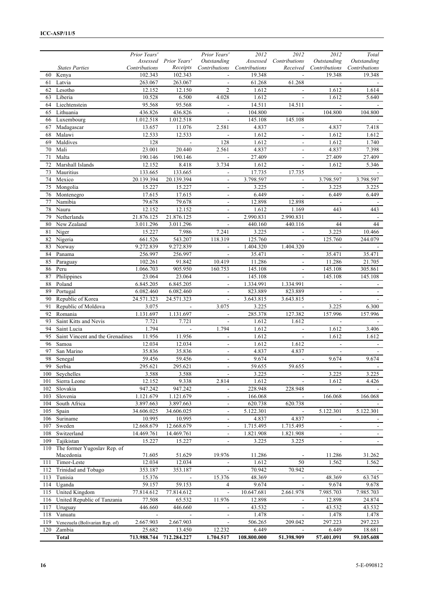|          |                                          | Prior Years'             |                          | Prior Years'                         | 2012                 | 2012                     | 2012                     | Total                    |
|----------|------------------------------------------|--------------------------|--------------------------|--------------------------------------|----------------------|--------------------------|--------------------------|--------------------------|
|          |                                          |                          | Assessed Prior Years'    | Outstanding                          |                      | Assessed Contributions   | Outstanding              | Outstanding              |
|          | <b>States Parties</b>                    | Contributions            |                          | Receipts Contributions Contributions |                      | Received                 | Contributions            | Contributions            |
|          | 60 Kenya                                 | 102.343                  | 102.343                  |                                      | 19.348               |                          | 19.348                   | 19.348                   |
|          | 61 Latvia                                | 263.067                  | 263.067                  |                                      | 61.268               | 61.268                   |                          |                          |
| 62       | Lesotho                                  | 12.152                   | 12.150                   | $\overline{2}$                       | 1.612                | $\blacksquare$           | 1.612                    | 1.614                    |
|          | 63 Liberia                               | 10.528                   | 6.500                    | 4.028                                | 1.612                | $\overline{\phantom{a}}$ | 1.612                    | 5.640                    |
|          | 64 Liechtenstein                         | 95.568                   | 95.568                   | $\overline{\phantom{a}}$             | 14.511               | 14.511                   | $\sim$                   |                          |
|          | 65 Lithuania                             | 436.826                  | 436.826                  |                                      | 104.800              |                          | 104.800                  | 104.800                  |
| 66       | Luxembourg                               | 1.012.518                | 1.012.518                | $\Box$                               | 145.108              | 145.108                  | $\mathbb{L}$             |                          |
| 67       | Madagascar                               | 13.657                   | 11.076                   | 2.581                                | 4.837                |                          | 4.837                    | 7.418                    |
| 68       | Malawi                                   | 12.533                   | 12.533                   | $\blacksquare$                       | 1.612                |                          | 1.612                    | 1.612                    |
| 69       | Maldives                                 | 128                      |                          | 128                                  | 1.612                |                          | 1.612                    | 1.740                    |
| 70       | Mali                                     | 23.001                   | 20.440                   | 2.561                                | 4.837                | $\overline{a}$           | 4.837                    | 7.398                    |
| 71       | Malta                                    | 190.146                  | 190.146                  | $\Box$                               | 27.409               | $\overline{\phantom{a}}$ | 27.409                   | 27.409                   |
| 72       | Marshall Islands                         | 12.152                   | 8.418                    | 3.734                                | 1.612                |                          | 1.612                    | 5.346                    |
| 73       | Mauritius                                | 133.665                  | 133.665                  |                                      | 17.735               | 17.735                   |                          |                          |
| 74       | Mexico                                   | 20.139.394               | 20.139.394               | $\overline{a}$                       | 3.798.597            | $\overline{\phantom{a}}$ | 3.798.597                | 3.798.597                |
| 75       | Mongolia                                 | 15.227                   | 15.227                   | $\blacksquare$                       | 3.225                | $\blacksquare$           | 3.225                    | 3.225                    |
| 76       | Montenegro                               | 17.615                   | 17.615                   |                                      | 6.449                |                          | 6.449                    | 6.449                    |
| 77       | Namibia                                  | 79.678                   | 79.678                   |                                      | 12.898               | 12.898                   |                          |                          |
| 78       | Nauru                                    | 12.152                   | 12.152                   | $\overline{a}$                       | 1.612                | 1.169                    | 443                      | 443                      |
| 79       | Netherlands                              | 21.876.125               | 21.876.125<br>3.011.296  | $\overline{\phantom{a}}$             | 2.990.831<br>440.160 | 2.990.831                | 44                       | 44                       |
|          | 80 New Zealand                           | 3.011.296                |                          | $\frac{1}{2}$                        |                      | 440.116                  |                          |                          |
|          | 81 Niger                                 | 15.227                   | 7.986                    | 7.241                                | 3.225                | $\overline{a}$           | 3.225                    | 10.466                   |
| 82       | Nigeria                                  | 661.526                  | 543.207                  | 118.319                              | 125.760              |                          | 125.760                  | 244.079                  |
| 83       | Norway                                   | 9.272.839                | 9.272.839                | $\overline{\phantom{a}}$             | 1.404.320            | 1.404.320                |                          |                          |
|          | 84 Panama                                | 256.997                  | 256.997<br>91.842        | $\mathbb{Z}^2$<br>10.419             | 35.471               |                          | 35.471<br>11.286         | 35.471                   |
| 85       | Paraguay                                 | 102.261                  |                          |                                      | 11.286               |                          |                          | 21.705                   |
| 86       | Peru                                     | 1.066.703                | 905.950                  | 160.753                              | 145.108              | $\overline{\phantom{a}}$ | 145.108                  | 305.861                  |
| 87       | Philippines                              | 23.064                   | 23.064                   |                                      | 145.108              | $\overline{\phantom{a}}$ | 145.108                  | 145.108                  |
| 88<br>89 | Poland                                   | 6.845.205                | 6.845.205                |                                      | 1.334.991<br>823.889 | 1.334.991                |                          |                          |
| 90       | Portugal                                 | 6.082.460<br>24.571.323  | 6.082.460<br>24.571.323  | $\Box$                               | 3.643.815            | 823.889<br>3.643.815     | $\Box$                   |                          |
| 91       | Republic of Korea<br>Republic of Moldova | 3.075                    |                          | 3.075                                |                      |                          |                          |                          |
| 92       | Romania                                  |                          | $\overline{\phantom{a}}$ | $\frac{1}{2}$                        | 3.225                | $\overline{\phantom{a}}$ | 3.225                    | 6.300                    |
| 93       | Saint Kitts and Nevis                    | 1.131.697<br>7.721       | 1.131.697<br>7.721       |                                      | 285.378<br>1.612     | 127.382<br>1.612         | 157.996                  | 157.996                  |
| 94       | Saint Lucia                              | 1.794                    | $\mathbf{r}$             | 1.794                                | 1.612                | $\omega$                 | 1.612                    | 3.406                    |
| 95       | Saint Vincent and the Grenadines         | 11.956                   | 11.956                   | $\blacksquare$                       | 1.612                | $\blacksquare$           | 1.612                    | 1.612                    |
| 96       | Samoa                                    | 12.034                   | 12.034                   |                                      | 1.612                | 1.612                    | $\overline{\phantom{a}}$ |                          |
| 97       | San Marino                               | 35.836                   | 35.836                   |                                      | 4.837                | 4.837                    |                          |                          |
| 98       | Senegal                                  | 59.456                   | 59.456                   | $\overline{a}$                       | 9.674                | $\frac{1}{2}$            | 9.674                    | 9.674                    |
| 99       | Serbia                                   | 295.621                  | 295.621                  |                                      | 59.655               | 59.655                   |                          |                          |
| 100      | Seychelles                               | 3.588                    | 3.588                    | $\blacksquare$                       | 3.225                |                          | 3.225                    | 3.225                    |
| 101      | Sierra Leone                             | 12.152                   | 9.338                    | 2.814                                | 1.612                |                          | 1.612                    | 4.426                    |
| 102      | Slovakia                                 | 947.242                  | 947.242                  | $\overline{a}$                       | 228.948              | 228.948                  | $\omega$                 |                          |
| 103      | Slovenia                                 | 1.121.679                | 1.121.679                | $\overline{\phantom{a}}$             | 166.068              | $\overline{\phantom{a}}$ | 166.068                  | 166.068                  |
| 104      | South Africa                             | 3.897.663                | 3.897.663                | $\overline{a}$                       | 620.738              | 620.738                  | $\blacksquare$           |                          |
| 105      | Spain                                    | 34.606.025               | 34.606.025               |                                      | 5.122.301            |                          | 5.122.301                | 5.122.301                |
| 106      | Suriname                                 | 10.995                   | 10.995                   | $\blacksquare$                       | 4.837                | 4.837                    | $\blacksquare$           | $\overline{\phantom{a}}$ |
| 107      | Sweden                                   | 12.668.679               | 12.668.679               | $\overline{\phantom{a}}$             | 1.715.495            | 1.715.495                | $\blacksquare$           | $\blacksquare$           |
| 108      | Switzerland                              | 14.469.761               | 14.469.761               | $\overline{a}$                       | 1.821.908            | 1.821.908                | $\overline{\phantom{a}}$ |                          |
| 109      | Tajikistan                               | 15.227                   | 15.227                   |                                      | 3.225                | 3.225                    |                          |                          |
| 110      | The former Yugoslav Rep. of              |                          |                          |                                      |                      |                          |                          |                          |
|          | Macedonia                                | 71.605                   | 51.629                   | 19.976                               | 11.286               |                          | 11.286                   | 31.262                   |
| 111      | Timor-Leste                              | 12.034                   | 12.034                   |                                      | 1.612                | 50                       | 1.562                    | 1.562                    |
| 112      | Trinidad and Tobago                      | 353.187                  | 353.187                  | $\overline{a}$                       | 70.942               | 70.942                   | $\omega$                 |                          |
| 113      | Tunisia                                  | 15.376                   | $\blacksquare$           | 15.376                               | 48.369               | $\Box$                   | 48.369                   | 63.745                   |
| 114      | Uganda                                   | 59.157                   | 59.153                   | 4                                    | 9.674                | $\overline{\phantom{a}}$ | 9.674                    | 9.678                    |
| 115      | United Kingdom                           | 77.814.612               | 77.814.612               | $\overline{\phantom{a}}$             | 10.647.681           | 2.661.978                | 7.985.703                | 7.985.703                |
| 116      | United Republic of Tanzania              | 77.508                   | 65.532                   | 11.976                               | 12.898               | $\overline{\phantom{a}}$ | 12.898                   | 24.874                   |
| 117      | Uruguay                                  | 446.660                  | 446.660                  | $\Box$                               | 43.532               | $\blacksquare$           | 43.532                   | 43.532                   |
| 118      | Vanuatu                                  | $\overline{\phantom{a}}$ | $\overline{\phantom{a}}$ | $\overline{\phantom{a}}$             | 1.478                | $\overline{\phantom{a}}$ | 1.478                    | 1.478                    |
| 119      | Venezuela (Bolivarian Rep. of)           | 2.667.903                | 2.667.903                |                                      | 506.265              | 209.042                  | 297.223                  | 297.223                  |
| 120      | Zambia                                   | 25.682                   | 13.450                   | 12.232                               | 6.449                |                          | 6.449                    | 18.681                   |
|          | <b>Total</b>                             | 713.988.744              | 712.284.227              | 1.704.517                            | 108.800.000          | 51.398.909               | 57.401.091               | 59.105.608               |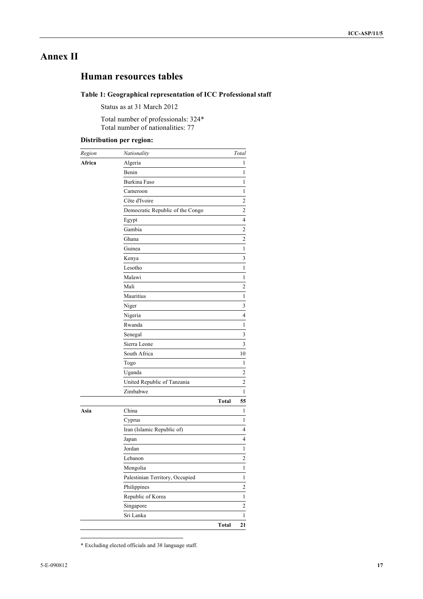## **Annex II**

## **Human resources tables**

## **Table 1: Geographical representation of ICC Professional staff**

Status as at 31 March 2012

Total number of professionals: 324\* Total number of nationalities: 77

## **Distribution per region:**

| Region | Nationality                      |       | Total                   |
|--------|----------------------------------|-------|-------------------------|
| Africa | Algeria                          |       | 1                       |
|        | Benin                            |       | 1                       |
|        | Burkina Faso                     |       | 1                       |
|        | Cameroon                         |       | $\mathbf{1}$            |
|        | Côte d'Ivoire                    |       | $\overline{\mathbf{c}}$ |
|        | Democratic Republic of the Congo |       | $\mathbf{2}$            |
|        | Egypt                            |       | 4                       |
|        | Gambia                           |       | $\mathbf{2}$            |
|        | Ghana                            |       | $\overline{\mathbf{c}}$ |
|        | Guinea                           |       | 1                       |
|        | Kenya                            |       | 3                       |
|        | Lesotho                          |       | 1                       |
|        | Malawi                           |       | 1                       |
|        | Mali                             |       | 2                       |
|        | Mauritius                        |       | 1                       |
|        | Niger                            |       | 3                       |
|        | Nigeria                          |       | 4                       |
|        | Rwanda                           |       | 1                       |
|        | Senegal                          |       | 3                       |
|        | Sierra Leone                     |       | 3                       |
|        | South Africa                     |       | 10                      |
|        | Togo                             |       | 1                       |
|        | Uganda                           |       | $\overline{\mathbf{c}}$ |
|        | United Republic of Tanzania      |       | $\overline{c}$          |
|        | Zimbabwe                         |       | 1                       |
|        |                                  | Total | 55                      |
| Asia   | China                            |       | 1                       |
|        | Cyprus                           |       | 1                       |
|        | Iran (Islamic Republic of)       |       | 4                       |
|        | Japan                            |       | 4                       |
|        | Jordan                           |       | $\mathbf{1}$            |
|        | Lebanon                          |       | $\mathbf{2}$            |
|        | Mongolia                         |       | $\,1$                   |
|        | Palestinian Territory, Occupied  |       | $\,1$                   |
|        | Philippines                      |       | $\overline{\mathbf{c}}$ |
|        | Republic of Korea                |       | 1                       |
|        | Singapore                        |       | $\overline{c}$          |
|        | Sri Lanka                        |       | 1                       |
|        |                                  | Total | 21                      |

 <sup>\*</sup> Excluding elected officials and 38 language staff.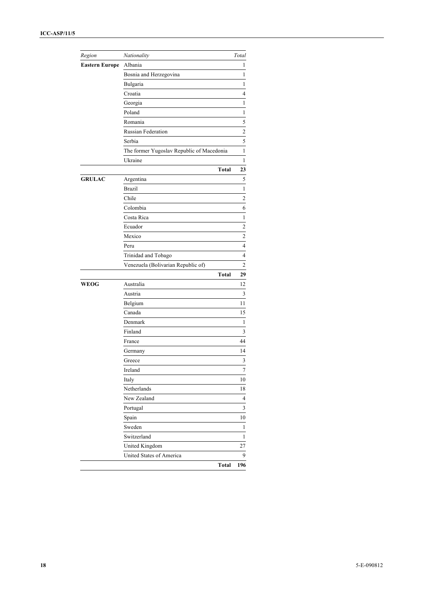| Region                | Nationality                               | Total                   |
|-----------------------|-------------------------------------------|-------------------------|
| <b>Eastern Europe</b> | Albania                                   | 1                       |
|                       | Bosnia and Herzegovina                    | 1                       |
|                       | Bulgaria                                  | 1                       |
|                       | Croatia                                   | 4                       |
|                       | Georgia                                   | 1                       |
|                       | Poland                                    | 1                       |
|                       | Romania                                   | 5                       |
|                       | <b>Russian Federation</b>                 | $\overline{\mathbf{c}}$ |
|                       | Serbia                                    | 5                       |
|                       | The former Yugoslav Republic of Macedonia | $\mathbf{1}$            |
|                       | Ukraine                                   | 1                       |
|                       | Total                                     | 23                      |
| <b>GRULAC</b>         | Argentina                                 | 5                       |
|                       | <b>Brazil</b>                             | $\mathbf{1}$            |
|                       | Chile                                     | $\overline{\mathbf{c}}$ |
|                       | Colombia                                  | 6                       |
|                       | Costa Rica                                | 1                       |
|                       | Ecuador                                   | $\overline{\mathbf{c}}$ |
|                       | Mexico                                    | $\overline{c}$          |
|                       | Peru                                      | $\overline{4}$          |
|                       | Trinidad and Tobago                       | 4                       |
|                       | Venezuela (Bolivarian Republic of)        | 2                       |
|                       | Total                                     | 29                      |
| <b>WEOG</b>           | Australia                                 | 12                      |
|                       | Austria                                   | 3                       |
|                       | Belgium                                   | 11                      |
|                       | Canada                                    | 15                      |
|                       | Denmark                                   | 1                       |
|                       | Finland                                   | 3                       |
|                       | France                                    | 44                      |
|                       | Germany                                   | 14                      |
|                       | Greece                                    | 3                       |
|                       | Ireland                                   | 7                       |
|                       | Italy                                     | $10\,$                  |
|                       | Netherlands                               | 18                      |
|                       | New Zealand                               | 4                       |
|                       | Portugal                                  | 3                       |
|                       | Spain                                     | 10                      |
|                       | Sweden                                    | 1                       |
|                       | Switzerland                               | 1                       |
|                       | United Kingdom                            | 27                      |
|                       | United States of America                  | 9                       |
|                       | Total                                     | 196                     |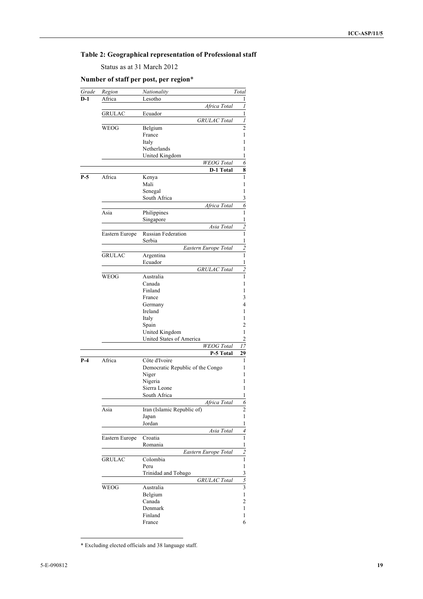## **Table 2: Geographical representation of Professional staff**

Status as at 31 March 2012

## **Number of staff per post, per region**\*

| Grade | Region         | Nationality                                | Total                    |  |  |  |
|-------|----------------|--------------------------------------------|--------------------------|--|--|--|
| D-1   | Africa         | Lesotho                                    | 1                        |  |  |  |
|       |                | Africa Total                               | $\boldsymbol{l}$         |  |  |  |
|       | GRULAC         | Ecuador                                    | $\overline{1}$           |  |  |  |
|       |                | <b>GRULAC</b> Total                        | $\overline{I}$           |  |  |  |
|       | WEOG           | Belgium                                    | $\overline{c}$           |  |  |  |
|       |                | France                                     | 1                        |  |  |  |
|       |                | Italy                                      | 1                        |  |  |  |
|       |                | Netherlands<br>United Kingdom              | 1<br>1                   |  |  |  |
|       |                | <b>WEOG</b> Total                          | 6                        |  |  |  |
|       |                | <b>D-1 Total</b>                           | $\overline{\mathbf{8}}$  |  |  |  |
| $P-5$ | Africa         | Kenya                                      | $\mathbf{1}$             |  |  |  |
|       |                | Mali                                       | 1                        |  |  |  |
|       |                | Senegal                                    | 1                        |  |  |  |
|       |                | South Africa                               |                          |  |  |  |
|       |                | Africa Total                               | $rac{3}{6}$              |  |  |  |
|       | Asia           | Philippines                                | $\mathbf{1}$             |  |  |  |
|       |                | Singapore                                  | $\mathbf{1}$             |  |  |  |
|       |                | Asia Total                                 | $\overline{2}$           |  |  |  |
|       | Eastern Europe | <b>Russian Federation</b>                  | $\overline{1}$           |  |  |  |
|       |                | Serbia                                     | $\overline{1}$           |  |  |  |
|       |                | Eastern Europe Total                       | $\overline{c}$           |  |  |  |
|       | <b>GRULAC</b>  | Argentina                                  | $\overline{1}$           |  |  |  |
|       |                | Ecuador                                    | $\,1$                    |  |  |  |
|       |                | <b>GRULAC</b> Total                        | $\overline{2}$           |  |  |  |
|       | WEOG           | Australia                                  | $\mathbf{1}$             |  |  |  |
|       |                | Canada                                     | 1                        |  |  |  |
|       |                | Finland                                    | 1                        |  |  |  |
|       |                | France                                     | 3                        |  |  |  |
|       |                | Germany                                    | 4                        |  |  |  |
|       |                | Ireland                                    | 1                        |  |  |  |
|       |                | Italy                                      | 1                        |  |  |  |
|       |                | Spain                                      | 2                        |  |  |  |
|       |                | United Kingdom<br>United States of America | 1<br>$\overline{2}$      |  |  |  |
|       |                | <b>WEOG</b> Total                          |                          |  |  |  |
|       |                | P-5 Total                                  | 17<br>29                 |  |  |  |
| $P-4$ | Africa         | Côte d'Ivoire                              | 1                        |  |  |  |
|       |                | Democratic Republic of the Congo           | 1                        |  |  |  |
|       |                | Niger                                      | 1                        |  |  |  |
|       |                | Nigeria                                    | 1                        |  |  |  |
|       |                | Sierra Leone                               | 1                        |  |  |  |
|       |                | South Africa                               | 1                        |  |  |  |
|       |                | Africa Total                               | 6                        |  |  |  |
|       | Asia           | Iran (Islamic Republic of)                 | 2                        |  |  |  |
|       |                | Japan                                      | 1                        |  |  |  |
|       |                | Jordan                                     | 1                        |  |  |  |
|       |                | Asia Total                                 | $\overline{\mathcal{A}}$ |  |  |  |
|       | Eastern Europe | Croatia                                    | $\mathbf{1}$             |  |  |  |
|       |                | Romania                                    | $\,1$                    |  |  |  |
|       |                | Eastern Europe Total                       | $\overline{\mathbf{c}}$  |  |  |  |
|       | <b>GRULAC</b>  | Colombia                                   | $\,1$                    |  |  |  |
|       |                | Peru                                       | $\mathbf{1}$             |  |  |  |
|       |                | Trinidad and Tobago                        |                          |  |  |  |
|       |                | <b>GRULAC</b> Total                        | $\frac{3}{5}$            |  |  |  |
|       | <b>WEOG</b>    | Australia                                  |                          |  |  |  |
|       |                | Belgium                                    | 1                        |  |  |  |
|       |                | Canada                                     | 2                        |  |  |  |
|       |                | Denmark                                    | 1                        |  |  |  |
|       |                | Finland                                    | 1                        |  |  |  |
|       |                | France                                     | 6                        |  |  |  |

 <sup>\*</sup> Excluding elected officials and 38 language staff.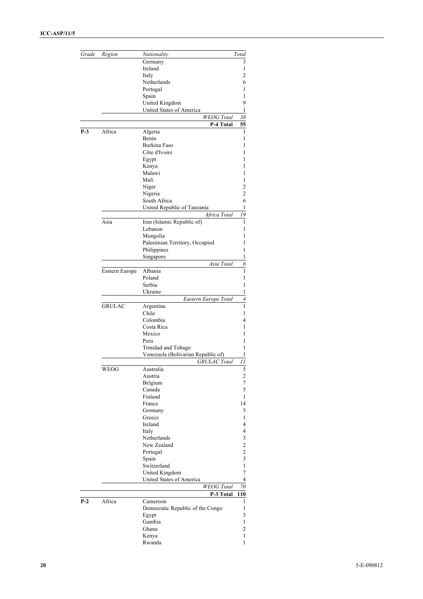| Grade | Region         | Nationality                        | Total                    |
|-------|----------------|------------------------------------|--------------------------|
|       |                | Germany                            | 3                        |
|       |                | Ireland                            | 1                        |
|       |                | Italy                              | 2                        |
|       |                | Netherlands                        | 6                        |
|       |                | Portugal                           | 1                        |
|       |                | Spain                              | 1                        |
|       |                | United Kingdom                     | 9                        |
|       |                | United States of America           | 1                        |
|       |                | <b>WEOG</b> Total                  | 38                       |
| $P-3$ |                | P-4 Total                          | 55<br>1                  |
|       | Africa         | Algeria<br>Benin                   | 1                        |
|       |                | Burkina Faso                       | 1                        |
|       |                | Côte d'Ivoire                      | 1                        |
|       |                | Egypt                              | 1                        |
|       |                | Kenya                              | 1                        |
|       |                | Malawi                             | 1                        |
|       |                | Mali                               | 1                        |
|       |                | Niger                              | 2                        |
|       |                | Nigeria                            | 2                        |
|       |                | South Africa                       | 6                        |
|       |                | United Republic of Tanzania        | 1                        |
|       |                | Africa Total                       | 19                       |
|       | Asia           | Iran (Islamic Republic of)         | 1                        |
|       |                | Lebanon                            | 1                        |
|       |                | Mongolia                           | 1                        |
|       |                | Palestinian Territory, Occupied    | 1                        |
|       |                | Philippines                        | 1                        |
|       |                | Singapore                          | 1                        |
|       |                | Asia Total                         | 6                        |
|       | Eastern Europe | Albania                            | 1                        |
|       |                | Poland                             | 1                        |
|       |                | Serbia<br>Ukraine                  | 1<br>1                   |
|       |                | Eastern Europe Total               | $\overline{\mathcal{A}}$ |
|       | <b>GRULAC</b>  | Argentina                          | 1                        |
|       |                | Chile                              | 1                        |
|       |                | Colombia                           | 4                        |
|       |                | Costa Rica                         | 1                        |
|       |                | Mexico                             | 1                        |
|       |                | Peru                               | 1                        |
|       |                | Trinidad and Tobago                | 1                        |
|       |                | Venezuela (Bolivarian Republic of) | 1                        |
|       |                | <b>GRULAC</b> Total                | 11                       |
|       | WEOG           | Australia                          | C                        |
|       |                | Austria                            | $\overline{\mathbf{c}}$  |
|       |                | Belgium                            | 7                        |
|       |                | Canada<br>Finland                  | 5<br>1                   |
|       |                | France                             | 14                       |
|       |                | Germany                            | 5                        |
|       |                | Greece                             | 1                        |
|       |                | Ireland                            | 4                        |
|       |                | Italy                              | 4                        |
|       |                | Netherlands                        | 3                        |
|       |                | New Zealand                        | $\overline{\mathbf{c}}$  |
|       |                | Portugal                           | $\overline{\mathbf{c}}$  |
|       |                | Spain                              | 3                        |
|       |                | Switzerland                        | $\mathbf{1}$             |
|       |                | United Kingdom                     | 7                        |
|       |                | United States of America           | 4                        |
|       |                | <b>WEOG</b> Total                  | 70                       |
|       |                | P-3 Total                          | 110                      |
| $P-2$ | Africa         | Cameroon                           | 1                        |
|       |                | Democratic Republic of the Congo   | 1                        |
|       |                | Egypt                              | 3                        |
|       |                | Gambia                             | $\mathbf{1}$             |
|       |                | Ghana                              | $\overline{c}$           |
|       |                | Kenya                              | 1                        |
|       |                | Rwanda                             | $\mathbf{1}$             |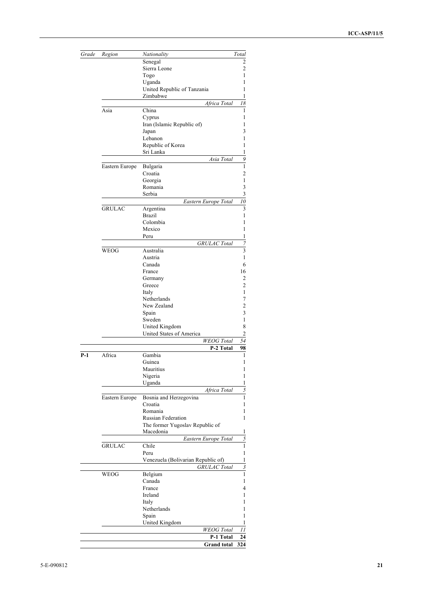| Grade      | Region         | Nationality                        | Total                   |
|------------|----------------|------------------------------------|-------------------------|
|            |                | Senegal                            | 2                       |
|            |                | Sierra Leone                       | $\overline{c}$          |
|            |                | Togo                               | 1                       |
|            |                | Uganda                             | 1                       |
|            |                | United Republic of Tanzania        | 1                       |
|            |                | Zimbabwe                           | 1                       |
|            |                | Africa Total                       | 18                      |
|            | Asia           | China                              | 1                       |
|            |                | Cyprus                             | 1                       |
|            |                | Iran (Islamic Republic of)         | 1                       |
|            |                | Japan                              | 3                       |
|            |                | Lebanon                            | 1                       |
|            |                | Republic of Korea                  | 1                       |
|            |                | Sri Lanka                          | 1                       |
|            |                | Asia Total                         | 9                       |
|            | Eastern Europe | Bulgaria                           | $\mathbf{1}$            |
|            |                | Croatia                            | $\overline{c}$          |
|            |                | Georgia                            | $\,1\,$                 |
|            |                | Romania                            |                         |
|            |                | Serbia                             |                         |
|            |                | Eastern Europe Total               | $\frac{3}{10}$          |
|            | <b>GRULAC</b>  | Argentina                          | $\overline{\mathbf{3}}$ |
|            |                | Brazil                             | $\mathbf{1}$            |
|            |                | Colombia                           | 1                       |
|            |                | Mexico                             | 1                       |
|            |                | Peru                               | 1                       |
|            |                | <b>GRULAC</b> Total                | $\overline{7}$          |
|            |                |                                    | 3                       |
|            | WEOG           | Australia                          |                         |
|            |                | Austria                            | 1                       |
|            |                | Canada                             | 6                       |
|            |                | France                             | 16                      |
|            |                | Germany                            | 2                       |
|            |                | Greece                             | 2                       |
|            |                | Italy                              | 1                       |
|            |                | Netherlands                        | 7                       |
|            |                | New Zealand                        | $\overline{c}$          |
|            |                | Spain                              | 3                       |
|            |                | Sweden                             | 1                       |
|            |                | United Kingdom                     | 8                       |
|            |                | United States of America           | $\overline{c}$          |
|            |                | <b>WEOG</b> Total                  | 54                      |
|            |                | P-2 Total                          | 98                      |
| <b>P-1</b> | Africa         | Gambia                             | 1                       |
|            |                | Guinea                             | 1                       |
|            |                | Mauritius                          | 1                       |
|            |                | Nigeria                            | 1                       |
|            |                | Uganda                             | 1                       |
|            |                | Africa Total                       | 5                       |
|            | Eastern Europe | Bosnia and Herzegovina             | 1                       |
|            |                | Croatia                            | 1                       |
|            |                | Romania                            | 1                       |
|            |                | <b>Russian Federation</b>          | 1                       |
|            |                | The former Yugoslav Republic of    |                         |
|            |                | Macedonia                          | 1                       |
|            |                | Eastern Europe Total               | 5                       |
|            | <b>GRULAC</b>  | Chile                              | $\overline{1}$          |
|            |                | Peru                               | $\,1$                   |
|            |                | Venezuela (Bolivarian Republic of) | $\,$ 1 $\,$             |
|            |                | <b>GRULAC</b> Total                | $\mathfrak{z}$          |
|            | WEOG           | Belgium                            | $\mathbf{1}$            |
|            |                | Canada                             | 1                       |
|            |                | France                             | 4                       |
|            |                | Ireland                            | 1                       |
|            |                | Italy                              | 1                       |
|            |                | Netherlands                        | 1                       |
|            |                | Spain                              | 1                       |
|            |                | <b>United Kingdom</b>              |                         |
|            |                | <b>WEOG</b> Total                  | 11                      |
|            |                | P-1 Total                          | 24                      |
|            |                | <b>Grand</b> total                 | 324                     |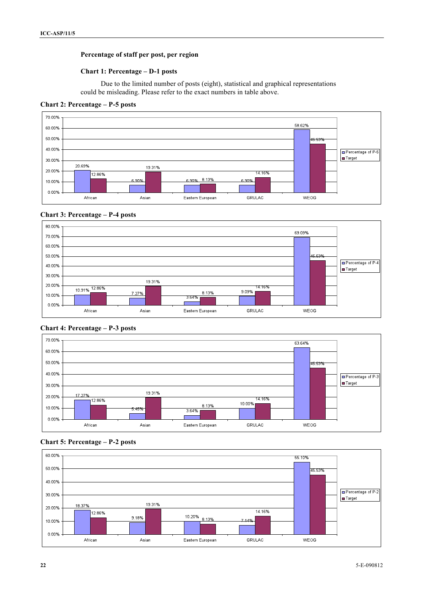## **Percentage of staff per post, per region**

#### **Chart 1: Percentage – D-1 posts**

Due to the limited number of posts (eight), statistical and graphical representations could be misleading. Please refer to the exact numbers in table above.

**Chart 2: Percentage – P-5 posts**













## **Chart 5: Percentage – P-2 posts**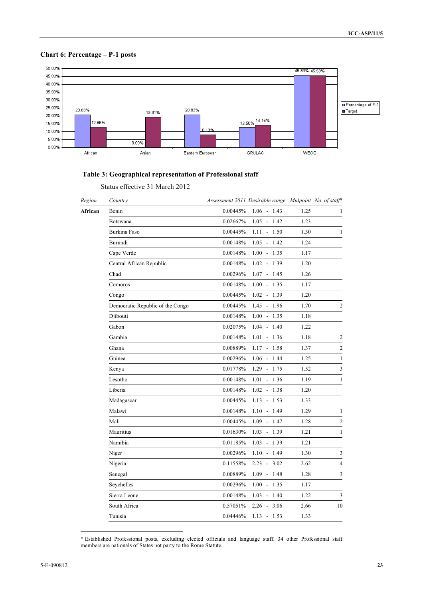## **Chart 6: Percentage – P-1 posts**



## **Table 3: Geographical representation of Professional staff**

|  | Status effective 31 March 2012 |  |  |  |
|--|--------------------------------|--|--|--|
|--|--------------------------------|--|--|--|

| Region  | Country                          |          | Assessment 2011 Desirable range Midpoint No. of staff* |      |                |
|---------|----------------------------------|----------|--------------------------------------------------------|------|----------------|
| African | Benin                            | 0.00445% | $1.06 - 1.43$                                          | 1.25 | 1              |
|         | Botswana                         | 0.02667% | $1.05 - 1.42$                                          | 1.23 |                |
|         | Burkina Faso                     | 0.00445% | $1.11 - 1.50$                                          | 1.30 | 1              |
|         | Burundi                          | 0.00148% | $1.05 - 1.42$                                          | 1.24 |                |
|         | Cape Verde                       | 0.00148% | $1.00 - 1.35$                                          | 1.17 |                |
|         | Central African Republic         | 0.00148% | $1.02 - 1.39$                                          | 1.20 |                |
|         | Chad                             | 0.00296% | $1.07 - 1.45$                                          | 1.26 |                |
|         | Comoros                          | 0.00148% | $1.00 - 1.35$                                          | 1.17 |                |
|         | Congo                            | 0.00445% | $1.02 - 1.39$                                          | 1.20 |                |
|         | Democratic Republic of the Congo | 0.00445% | $1.45 - 1.96$                                          | 1.70 | $\sqrt{2}$     |
|         | Djibouti                         | 0.00148% | $1.00 - 1.35$                                          | 1.18 |                |
|         | Gabon                            | 0.02075% | $1.04 - 1.40$                                          | 1.22 |                |
|         | Gambia                           | 0.00148% | $1.01 - 1.36$                                          | 1.18 | $\sqrt{2}$     |
|         | Ghana                            | 0.00889% | $1.17 - 1.58$                                          | 1.37 | $\sqrt{2}$     |
|         | Guinea                           | 0.00296% | $1.06 - 1.44$                                          | 1.25 | $\mathbf{1}$   |
|         | Kenya                            | 0.01778% | $1.29 - 1.75$                                          | 1.52 | 3              |
|         | Lesotho                          | 0.00148% | $1.01 - 1.36$                                          | 1.19 | 1              |
|         | Liberia                          | 0.00148% | $1.02 - 1.38$                                          | 1.20 |                |
|         | Madagascar                       | 0.00445% | $1.13 - 1.53$                                          | 1.33 |                |
|         | Malawi                           | 0.00148% | $1.10 - 1.49$                                          | 1.29 | $\mathbf{1}$   |
|         | Mali                             | 0.00445% | $1.09 - 1.47$                                          | 1.28 | $\overline{2}$ |
|         | Mauritius                        | 0.01630% | $1.03 - 1.39$                                          | 1.21 | $\mathbf{1}$   |
|         | Namibia                          | 0.01185% | $1.03 - 1.39$                                          | 1.21 |                |
|         | Niger                            | 0.00296% | $1.10 - 1.49$                                          | 1.30 | 3              |
|         | Nigeria                          | 0.11558% | $2.23 - 3.02$                                          | 2.62 | 4              |
|         | Senegal                          | 0.00889% | $1.09 - 1.48$                                          | 1.28 | $\mathfrak{Z}$ |
|         | Seychelles                       | 0.00296% | $1.00 - 1.35$                                          | 1.17 |                |
|         | Sierra Leone                     | 0.00148% | $1.03 - 1.40$                                          | 1.22 | 3              |
|         | South Africa                     | 0.57051% | $2.26 - 3.06$                                          | 2.66 | 10             |
|         | Tunisia                          | 0.04446% | $1.13 - 1.53$                                          | 1.33 |                |

 <sup>\*</sup> Established Professional posts, excluding elected officials and language staff. 34 other Professional staff members are nationals of States not party to the Rome Statute.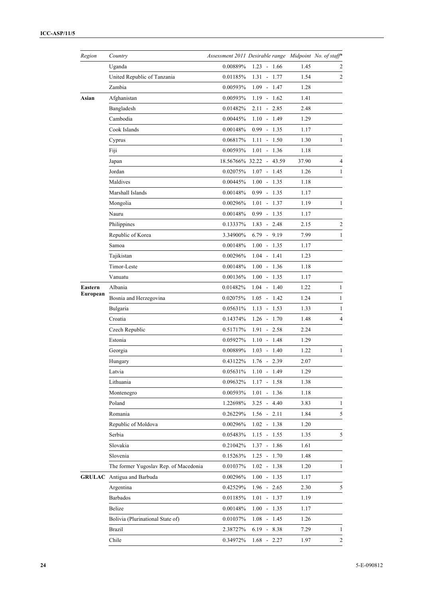| Region   | Country                               | Assessment 2011 Desirable range Midpoint No. of staff* |                         |       |                |
|----------|---------------------------------------|--------------------------------------------------------|-------------------------|-------|----------------|
|          | Uganda                                | 0.00889%                                               | $1.23 - 1.66$           | 1.45  | 2              |
|          | United Republic of Tanzania           | 0.01185%                                               | $1.31 - 1.77$           | 1.54  | $\overline{2}$ |
|          | Zambia                                | 0.00593%                                               | $1.09 - 1.47$           | 1.28  |                |
| Asian    | Afghanistan                           | 0.00593%                                               | $1.19 - 1.62$           | 1.41  |                |
|          | Bangladesh                            | 0.01482%                                               | $2.11 - 2.85$           | 2.48  |                |
|          | Cambodia                              | 0.00445%                                               | $1.10 - 1.49$           | 1.29  |                |
|          | Cook Islands                          | 0.00148%                                               | $0.99 - 1.35$           | 1.17  |                |
|          | Cyprus                                | 0.06817%                                               | $1.11 - 1.50$           | 1.30  | 1              |
|          | Fiji                                  | 0.00593%                                               | $1.01 - 1.36$           | 1.18  |                |
|          | Japan                                 |                                                        | 18.56766% 32.22 - 43.59 | 37.90 | 4              |
|          | Jordan                                | 0.02075%                                               | $1.07 - 1.45$           | 1.26  | $\mathbf{1}$   |
|          | Maldives                              | 0.00445%                                               | $1.00 - 1.35$           | 1.18  |                |
|          | Marshall Islands                      | 0.00148%                                               | $0.99 - 1.35$           | 1.17  |                |
|          | Mongolia                              | 0.00296%                                               | $1.01 - 1.37$           | 1.19  | 1              |
|          | Nauru                                 | 0.00148%                                               | $0.99 - 1.35$           | 1.17  |                |
|          | Philippines                           | 0.13337%                                               | $1.83 - 2.48$           | 2.15  | 2              |
|          | Republic of Korea                     | 3.34900%                                               | $6.79 - 9.19$           | 7.99  | 1              |
|          | Samoa                                 | 0.00148%                                               | $-1.35$<br>1.00         | 1.17  |                |
|          | Tajikistan                            | 0.00296%                                               | 1.04<br>$-1.41$         | 1.23  |                |
|          | Timor-Leste                           | 0.00148%                                               | $1.00 - 1.36$           | 1.18  |                |
|          | Vanuatu                               | 0.00136%                                               | $1.00 - 1.35$           | 1.17  |                |
| Eastern  | Albania                               | 0.01482%                                               | $1.04 - 1.40$           | 1.22  | 1              |
| European | Bosnia and Herzegovina                | 0.02075%                                               | $1.05 - 1.42$           | 1.24  | $\mathbf{1}$   |
|          | Bulgaria                              | 0.05631%                                               | $1.13 - 1.53$           | 1.33  | 1              |
|          | Croatia                               | 0.14374%                                               | $1.26 - 1.70$           | 1.48  | 4              |
|          | Czech Republic                        | 0.51717%                                               | $1.91 - 2.58$           | 2.24  |                |
|          | Estonia                               | 0.05927%                                               | $1.10 - 1.48$           | 1.29  |                |
|          | Georgia                               | 0.00889%                                               | $1.03 - 1.40$           | 1.22  | 1              |
|          | Hungary                               | 0.43122%                                               | $1.76 - 2.39$           | 2.07  |                |
|          | Latvia                                | 0.05631%                                               | $1.10 - 1.49$           | 1.29  |                |
|          | Lithuania                             | 0.09632%                                               | $1.17 - 1.58$           | 1.38  |                |
|          | Montenegro                            | 0.00593%                                               | $1.01 - 1.36$           | 1.18  |                |
|          | Poland                                | 1.22698%                                               | $3.25 - 4.40$           | 3.83  | 1              |
|          | Romania                               | 0.26229%                                               | $1.56 - 2.11$           | 1.84  | 5              |
|          | Republic of Moldova                   | 0.00296%                                               | $1.02 - 1.38$           | 1.20  |                |
|          | Serbia                                | 0.05483%                                               | $1.15 - 1.55$           | 1.35  | 5              |
|          | Slovakia                              | 0.21042%                                               | $1.37 - 1.86$           | 1.61  |                |
|          | Slovenia                              | 0.15263%                                               | $1.25 - 1.70$           | 1.48  |                |
|          | The former Yugoslav Rep. of Macedonia | 0.01037%                                               | $1.02 - 1.38$           | 1.20  | 1              |
|          | <b>GRULAC</b> Antigua and Barbuda     | 0.00296%                                               | $1.00 - 1.35$           | 1.17  |                |
|          | Argentina                             | 0.42529%                                               | $1.96 - 2.65$           | 2.30  | 5              |
|          | <b>Barbados</b>                       | 0.01185%                                               | $1.01 - 1.37$           | 1.19  |                |
|          | Belize                                | 0.00148%                                               | $1.00 - 1.35$           | 1.17  |                |
|          | Bolivia (Plurinational State of)      | 0.01037%                                               | $1.08 - 1.45$           | 1.26  |                |
|          | Brazil                                | 2.38727%                                               | $6.19 - 8.38$           | 7.29  | 1              |
|          | Chile                                 | 0.34972%                                               | $1.68 - 2.27$           | 1.97  | $\mathfrak{2}$ |
|          |                                       |                                                        |                         |       |                |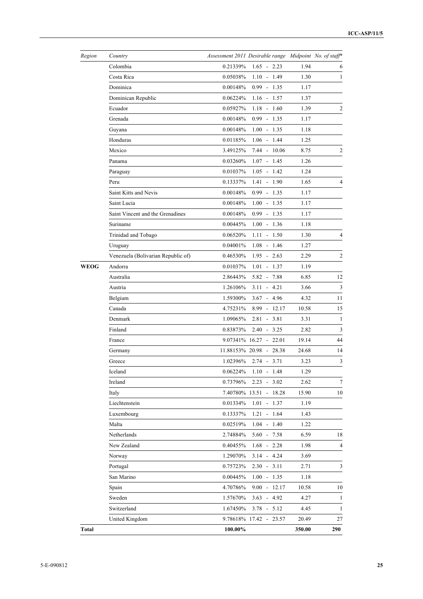| Region       | Country                            | Assessment 2011 Desirable range Midpoint No. of staff* |                         |        |                |
|--------------|------------------------------------|--------------------------------------------------------|-------------------------|--------|----------------|
|              | Colombia                           | 0.21339%                                               | $1.65 - 2.23$           | 1.94   | 6              |
|              | Costa Rica                         | 0.05038%                                               | $1.10 - 1.49$           | 1.30   | 1              |
|              | Dominica                           | 0.00148%                                               | $0.99 - 1.35$           | 1.17   |                |
|              | Dominican Republic                 | 0.06224%                                               | $1.16 - 1.57$           | 1.37   |                |
|              | Ecuador                            | 0.05927%                                               | $1.18 - 1.60$           | 1.39   | 2              |
|              | Grenada                            | 0.00148%                                               | $0.99 - 1.35$           | 1.17   |                |
|              | Guyana                             | 0.00148%                                               | $1.00 - 1.35$           | 1.18   |                |
|              | Honduras                           | 0.01185%                                               | $1.06 - 1.44$           | 1.25   |                |
|              | Mexico                             | 3.49125%                                               | $7.44 - 10.06$          | 8.75   | $\overline{c}$ |
|              | Panama                             | 0.03260%                                               | $1.07 - 1.45$           | 1.26   |                |
|              | Paraguay                           | 0.01037%                                               | $1.05 - 1.42$           | 1.24   |                |
|              | Peru                               | 0.13337%                                               | $1.41 - 1.90$           | 1.65   | 4              |
|              | Saint Kitts and Nevis              | 0.00148%                                               | $0.99 - 1.35$           | 1.17   |                |
|              | Saint Lucia                        | 0.00148%                                               | $1.00 - 1.35$           | 1.17   |                |
|              | Saint Vincent and the Grenadines   | 0.00148%                                               | $0.99 - 1.35$           | 1.17   |                |
|              | Suriname                           | 0.00445%                                               | $1.00 - 1.36$           | 1.18   |                |
|              | Trinidad and Tobago                | 0.06520%                                               | $1.11 - 1.50$           | 1.30   | 4              |
|              | Uruguay                            | 0.04001%                                               | $1.08 - 1.46$           | 1.27   |                |
|              | Venezuela (Bolivarian Republic of) | 0.46530%                                               | $1.95 - 2.63$           | 2.29   | $\overline{c}$ |
| <b>WEOG</b>  | Andorra                            | 0.01037%                                               | $1.01 - 1.37$           | 1.19   |                |
|              | Australia                          | 2.86443%                                               | $5.82 - 7.88$           | 6.85   | 12             |
|              | Austria                            | 1.26106%                                               | $3.11 - 4.21$           | 3.66   | $\mathfrak{Z}$ |
|              | Belgium                            | 1.59300%                                               | $3.67 - 4.96$           | 4.32   | 11             |
|              | Canada                             | 4.75231%                                               | $8.99 - 12.17$          | 10.58  | 15             |
|              | Denmark                            | 1.09065%                                               | $2.81 - 3.81$           | 3.31   | $\mathbf{1}$   |
|              | Finland                            | 0.83873%                                               | $2.40 - 3.25$           | 2.82   | $\sqrt{3}$     |
|              | France                             |                                                        | 9.07341% 16.27 - 22.01  | 19.14  | 44             |
|              | Germany                            |                                                        | 11.88153% 20.98 - 28.38 | 24.68  | 14             |
|              | Greece                             | 1.02396%                                               | $2.74 - 3.71$           | 3.23   | $\mathfrak{Z}$ |
|              | Iceland                            | 0.06224%                                               | $1.10 - 1.48$           | 1.29   |                |
|              | Ireland                            | 0.73796%                                               | $2.23 - 3.02$           | 2.62   | $\tau$         |
|              | Italy                              |                                                        | 7.40780% 13.51 - 18.28  | 15.90  | 10             |
|              | Liechtenstein                      | $0.01334\%$                                            | $1.01 - 1.37$           | 1.19   |                |
|              | Luxembourg                         | 0.13337%                                               | $1.21 - 1.64$           | 1.43   |                |
|              | Malta                              | 0.02519%                                               | $1.04 - 1.40$           | 1.22   |                |
|              | Netherlands                        | 2.74884%                                               | $5.60 - 7.58$           | 6.59   | 18             |
|              | New Zealand                        | 0.40455%                                               | $1.68 - 2.28$           | 1.98   | 4              |
|              | Norway                             | 1.29070%                                               | $3.14 - 4.24$           | 3.69   |                |
|              | Portugal                           | 0.75723%                                               | $2.30 - 3.11$           | 2.71   | $\mathfrak{Z}$ |
|              | San Marino                         | 0.00445%                                               | $1.00 - 1.35$           | 1.18   |                |
|              | Spain                              | 4.70786%                                               | $9.00 - 12.17$          | 10.58  | 10             |
|              | Sweden                             | 1.57670%                                               | $3.63 - 4.92$           | 4.27   | $\mathbf{1}$   |
|              | Switzerland                        | 1.67450%                                               | $3.78 - 5.12$           | 4.45   | $\mathbf{1}$   |
|              | United Kingdom                     |                                                        | 9.78618% 17.42 - 23.57  | 20.49  | 27             |
| <b>Total</b> |                                    | 100.00%                                                |                         | 350.00 | 290            |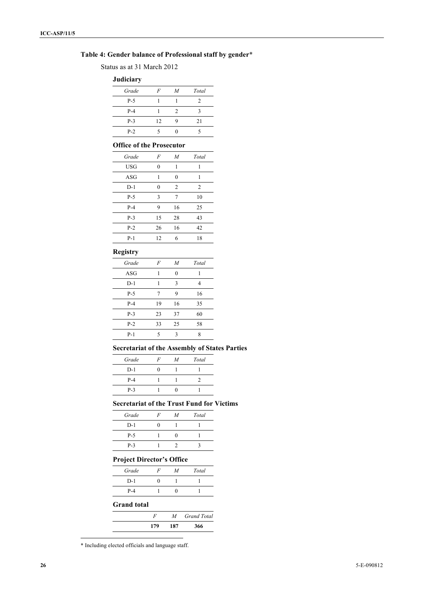## **Table 4: Gender balance of Professional staff by gender**\*

Status as at 31 March 2012

#### **Judiciary**

| $\overline{\phantom{a}}$ |                |                |       |
|--------------------------|----------------|----------------|-------|
| Grade                    | $\overline{F}$ | $\overline{M}$ | Total |
| $P-5$                    |                |                | 2     |
| $P-4$                    |                | 2              |       |
| $P-3$                    | 12             |                | 21    |
| $P-2$                    |                |                |       |

## **Office of the Prosecutor**

| Grade      | F        | $\overline{M}$ | Total          |
|------------|----------|----------------|----------------|
| <b>USG</b> | $\Omega$ | 1              | 1              |
| ASG        | 1        | $\Omega$       | 1              |
| $D-1$      | 0        | $\overline{c}$ | $\overline{c}$ |
| $P-5$      | 3        | 7              | 10             |
| $P-4$      | 9        | 16             | 25             |
| $P-3$      | 15       | 28             | 43             |
| $P-2$      | 26       | 16             | 42             |
| $P-1$      | 12       | 6              | 18             |

## **Registry**

| Grade | F  | M  | Total |
|-------|----|----|-------|
| ASG   | 1  | 0  |       |
| $D-1$ | 1  | 3  | 4     |
| $P-5$ | 7  | 9  | 16    |
| $P-4$ | 19 | 16 | 35    |
| $P-3$ | 23 | 37 | 60    |
| $P-2$ | 33 | 25 | 58    |
| $P-1$ | 5  | ٩  | 8     |
|       |    |    |       |

## **Secretariat of the Assembly of States Parties**

| Grade | $\bm{F}$ | $\boldsymbol{M}$ | Total |
|-------|----------|------------------|-------|
| $D-1$ | 0        |                  |       |
| $P-4$ |          |                  | 7     |
| $P-3$ |          |                  |       |
|       |          |                  |       |

## **Secretariat of the Trust Fund for Victims**

| Grade | F | $\overline{M}$ | Total |
|-------|---|----------------|-------|
| $D-1$ |   |                |       |
| $P-5$ |   |                |       |
| $P-3$ |   |                |       |

## **Project Director's Office**

| -<br>Grade | -------<br>F | M | Total |
|------------|--------------|---|-------|
| $D-1$      |              |   |       |
| $P-4$      |              |   |       |
|            |              |   |       |

## **Grand total**

| F   | $\boldsymbol{M}$ | <b>Grand Total</b> |
|-----|------------------|--------------------|
| 179 | 187              | 366                |

\* Including elected officials and language staff.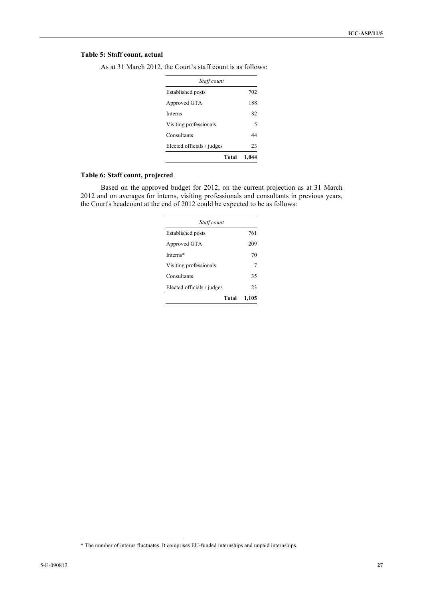## **Table 5: Staff count, actual**

| Staff count                |       |  |  |  |  |  |
|----------------------------|-------|--|--|--|--|--|
| Established posts          | 702   |  |  |  |  |  |
| Approved GTA               | 188   |  |  |  |  |  |
| Interns                    | 82    |  |  |  |  |  |
| Visiting professionals     | 5     |  |  |  |  |  |
| Consultants                | 44    |  |  |  |  |  |
| Elected officials / judges | 23    |  |  |  |  |  |
| Total                      | 1.044 |  |  |  |  |  |

As at 31 March 2012, the Court's staff count is as follows:

## **Table 6: Staff count, projected**

Based on the approved budget for 2012, on the current projection as at 31 March 2012 and on averages for interns, visiting professionals and consultants in previous years, the Court's headcount at the end of 2012 could be expected to be as follows:

| Staff count                |       |  |  |  |  |  |
|----------------------------|-------|--|--|--|--|--|
| Established posts          | 761   |  |  |  |  |  |
| Approved GTA               | 209   |  |  |  |  |  |
| Interns*                   | 70    |  |  |  |  |  |
| Visiting professionals     | 7     |  |  |  |  |  |
| Consultants                | 35    |  |  |  |  |  |
| Elected officials / judges | 23    |  |  |  |  |  |
| Total                      | 1,105 |  |  |  |  |  |

 <sup>\*</sup> The number of interns fluctuates. It comprises EU-funded internships and unpaid internships.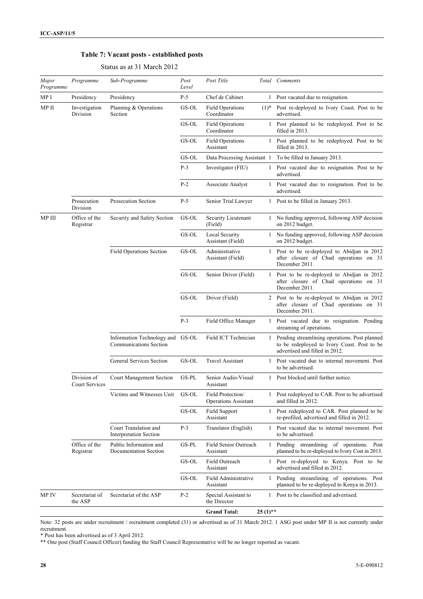## **Table 7: Vacant posts - established posts**

| Major<br>Programme | Programme                     | Sub-Programme                                                     | Post<br>Level | Post Title                                       |              | Total Comments                                                                                                                 |
|--------------------|-------------------------------|-------------------------------------------------------------------|---------------|--------------------------------------------------|--------------|--------------------------------------------------------------------------------------------------------------------------------|
| MP I               | Presidency                    | Presidency                                                        | $P-5$         | Chef de Cabinet                                  |              | 1 Post vacated due to resignation.                                                                                             |
| MP II              | Investigation<br>Division     | Planning & Operations<br>Section                                  | GS-OL         | <b>Field Operations</b><br>Coordinator           | $(1)^*$      | Post re-deployed to Ivory Coast. Post to be<br>advertised.                                                                     |
|                    |                               |                                                                   | GS-OL         | <b>Field Operations</b><br>Coordinator           | $\mathbf{1}$ | Post planned to be redeployed. Post to be<br>filled in 2013.                                                                   |
|                    |                               |                                                                   | GS-OL         | <b>Field Operations</b><br>Assistant             | $\mathbf{1}$ | Post planned to be redeployed. Post to be<br>filled in 2013.                                                                   |
|                    |                               |                                                                   | GS-OL         | Data Processing Assistant 1                      |              | To be filled in January 2013.                                                                                                  |
|                    |                               |                                                                   | $P-3$         | Investigator (FIU)                               |              | 1 Post vacated due to resignation. Post to be<br>advertised.                                                                   |
|                    |                               |                                                                   | $P-2$         | Associate Analyst                                | $\mathbf{1}$ | Post vacated due to resignation. Post to be<br>advertised.                                                                     |
|                    | Prosecution<br>Division       | <b>Prosecution Section</b>                                        | $P-5$         | Senior Trial Lawyer                              |              | 1 Post to be filled in January 2013.                                                                                           |
| MP III             | Office of the<br>Registrar    | Security and Safety Section                                       | GS-OL         | Security Lieutenant<br>(Field)                   | $\mathbf{1}$ | No funding approved, following ASP decision<br>on 2012 budget.                                                                 |
|                    |                               |                                                                   | GS-OL         | Local Security<br>Assistant (Field)              | $\mathbf{1}$ | No funding approved, following ASP decision<br>on 2012 budget.                                                                 |
|                    |                               | <b>Field Operations Section</b>                                   | GS-OL         | Administrative<br>Assistant (Field)              | $\mathbf{1}$ | Post to be re-deployed to Abidjan in 2012<br>after closure of Chad operations on 31<br>December 2011.                          |
|                    |                               |                                                                   | GS-OL         | Senior Driver (Field)                            | $\mathbf{1}$ | Post to be re-deployed to Abidjan in 2012<br>after closure of Chad operations on 31<br>December 2011.                          |
|                    |                               |                                                                   | GS-OL         | Driver (Field)                                   |              | 2 Post to be re-deployed to Abidjan in 2012<br>after closure of Chad operations on 31<br>December 2011.                        |
|                    |                               |                                                                   | $P-3$         | Field Office Manager                             | $\mathbf{1}$ | Post vacated due to resignation. Pending<br>streaming of operations.                                                           |
|                    |                               | Information Technology and GS-OL<br><b>Communications Section</b> |               | Field ICT Technician                             | $\mathbf{1}$ | Pending streamlining operations. Post planned<br>to be redeployed to Ivory Coast. Post to be<br>advertised and filled in 2012. |
|                    |                               | General Services Section                                          | GS-OL         | <b>Travel Assistant</b>                          | 1            | Post vacated due to internal movement. Post<br>to be advertised.                                                               |
|                    | Division of<br>Court Services | Court Management Section                                          | GS-PL         | Senior Audio-Visual<br>Assistant                 | 1            | Post blocked until further notice.                                                                                             |
|                    |                               | Victims and Witnesses Unit                                        | GS-OL         | Field Protection/<br><b>Operations Assistant</b> | 1            | Post redeployed to CAR. Post to be advertised<br>and filled in 2012.                                                           |
|                    |                               |                                                                   | GS-OL         | <b>Field Support</b><br>Assistant                | $\mathbf{1}$ | Post redeployed to CAR. Post planned to be<br>re-profiled, advertised and filled in 2012.                                      |
|                    |                               | Court Translation and<br>Interpretation Section                   | $P-3$         | Translator (English)                             |              | 1 Post vacated due to internal movement. Post<br>to be advertised.                                                             |
|                    | Office of the<br>Registrar    | Public Information and<br>Documentation Section                   | GS-PL         | <b>Field Senior Outreach</b><br>Assistant        |              | 1 Pending streamlining of operations. Post<br>planned to be re-deployed to Ivory Cost in 2013.                                 |
|                    |                               |                                                                   | GS-OL         | Field Outreach<br>Assistant                      | $\mathbf{1}$ | Post re-deployed to Kenya. Post to be<br>advertised and filled in 2012.                                                        |
|                    |                               |                                                                   | GS-OL         | Field Administrative<br>Assistant                | $\mathbf{1}$ | Pending streamlining of operations. Post<br>planned to be re-deployed to Kenya in 2013.                                        |
| MP IV              | Secretariat of<br>the ASP     | Secretariat of the ASP                                            | $P-2$         | Special Assistant to<br>the Director             |              | 1 Post to be classified and advertised.                                                                                        |
|                    |                               |                                                                   |               | <b>Grand Total:</b>                              | $25(1)$ **   |                                                                                                                                |

## Status as at 31 March 2012

Note: 32 posts are under recruitment / recruitment completed (31) or advertised as of 31 March 2012. 1 ASG post under MP II is not currently under recruitment.

\* Post has been advertised as of 3 April 2012.

\*\* One post (Staff Council Officer) funding the Staff Council Representative will be no longer reported as vacant.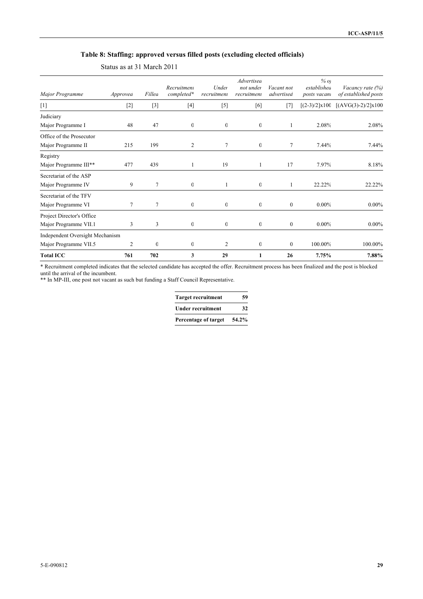## **Table 8: Staffing: approved versus filled posts (excluding elected officials)**

| Major Programme                 | Approvea       | Fillea       | Recruitment<br>completed* | Under<br>recruitment     | Advertised<br>not under<br>recruitment | Vacant not<br>advertised | $%$ O)<br>establishea<br>posts vacant | Vacancy rate $(\%)$<br>of established posts |
|---------------------------------|----------------|--------------|---------------------------|--------------------------|----------------------------------------|--------------------------|---------------------------------------|---------------------------------------------|
| $[1]$                           | $[2]$          | $[3]$        | $[4]$                     | $[5]$                    | [6]                                    | $[7]$                    | $[(2-3)/2] \times 100$                | $[(AVG(3)-2)/2] \times 100$                 |
| Judiciary                       |                |              |                           |                          |                                        |                          |                                       |                                             |
| Major Programme I               | 48             | 47           | 0                         | $\mathbf{0}$             | $\mathbf{0}$                           |                          | 2.08%                                 | 2.08%                                       |
| Office of the Prosecutor        |                |              |                           |                          |                                        |                          |                                       |                                             |
| Major Programme II              | 215            | 199          | 2                         | $\overline{\phantom{a}}$ | $\mathbf{0}$                           | 7                        | 7.44%                                 | 7.44%                                       |
| Registry                        |                |              |                           |                          |                                        |                          |                                       |                                             |
| Major Programme III**           | 477            | 439          |                           | 19                       | 1                                      | 17                       | 7.97%                                 | 8.18%                                       |
| Secretariat of the ASP          |                |              |                           |                          |                                        |                          |                                       |                                             |
| Major Programme IV              | g              | 7            | $\mathbf{0}$              | 1                        | $\mathbf{0}$                           | 1                        | 22.22%                                | 22.22%                                      |
| Secretariat of the TFV          |                |              |                           |                          |                                        |                          |                                       |                                             |
| Major Programme VI              | 7              | 7            | $\boldsymbol{0}$          | $\mathbf{0}$             | $\mathbf{0}$                           | $\mathbf{0}$             | $0.00\%$                              | $0.00\%$                                    |
| Project Director's Office       |                |              |                           |                          |                                        |                          |                                       |                                             |
| Major Programme VII.1           | 3              | 3            | $\boldsymbol{0}$          | $\mathbf{0}$             | $\overline{0}$                         | $\mathbf{0}$             | $0.00\%$                              | $0.00\%$                                    |
| Independent Oversight Mechanism |                |              |                           |                          |                                        |                          |                                       |                                             |
| Major Programme VII.5           | $\overline{2}$ | $\mathbf{0}$ | $\mathbf{0}$              | $\overline{2}$           | $\overline{0}$                         | $\mathbf{0}$             | 100.00%                               | 100.00%                                     |
| <b>Total ICC</b>                | 761            | 702          | 3                         | 29                       |                                        | 26                       | 7.75%                                 | 7.88%                                       |

Status as at 31 March 2011

\* Recruitment completed indicates that the selected candidate has accepted the offer. Recruitment process has been finalized and the post is blocked until the arrival of the incumbent.

\*\* In MP-III, one post not vacant as such but funding a Staff Council Representative.

| <b>Target recruitment</b> | 59    |
|---------------------------|-------|
| <b>Under recruitment</b>  | 32    |
| Percentage of target      | 54.2% |